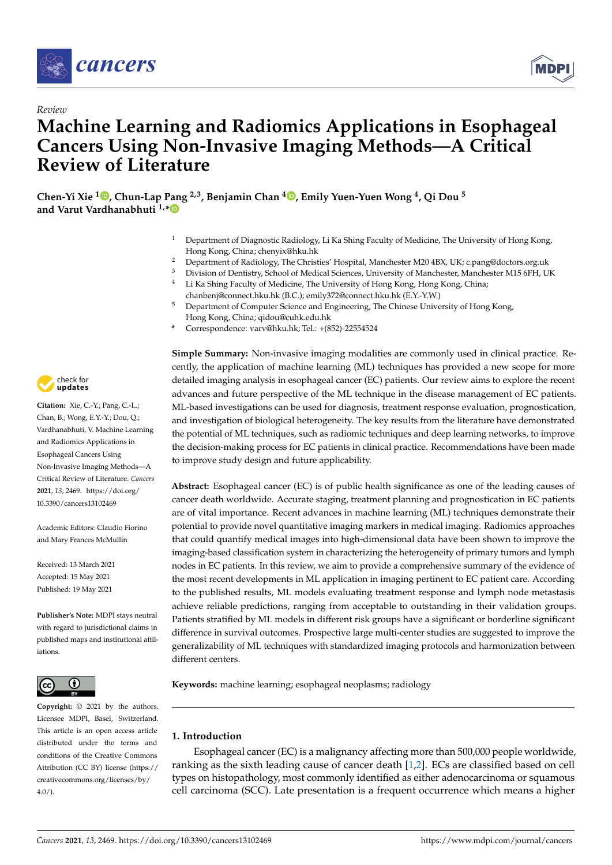

*Review*



# **Machine Learning and Radiomics Applications in Esophageal Cancers Using Non-Invasive Imaging Methods—A Critical Review of Literature**

**Chen-Yi Xie <sup>1</sup> [,](https://orcid.org/0000-0001-7399-6425) Chun-Lap Pang 2,3, Benjamin Chan <sup>4</sup> [,](https://orcid.org/0000-0003-1681-1441) Emily Yuen-Yuen Wong <sup>4</sup> , Qi Dou <sup>5</sup> and Varut Vardhanabhuti 1,[\\*](https://orcid.org/0000-0001-6677-3194)**

- <sup>1</sup> Department of Diagnostic Radiology, Li Ka Shing Faculty of Medicine, The University of Hong Kong, Hong Kong, China; chenyix@hku.hk
- <sup>2</sup> Department of Radiology, The Christies' Hospital, Manchester M20 4BX, UK; c.pang@doctors.org.uk<br><sup>3</sup> Division of Deptictury School of Modical Sciences, University of Manchester Manchester M15 6EH, U
- <sup>3</sup> Division of Dentistry, School of Medical Sciences, University of Manchester, Manchester M15 6FH, UK
- Li Ka Shing Faculty of Medicine, The University of Hong Kong, Hong Kong, China;
- chanbenj@connect.hku.hk (B.C.); emily372@connect.hku.hk (E.Y.-Y.W.)
- <sup>5</sup> Department of Computer Science and Engineering, The Chinese University of Hong Kong, Hong Kong, China; qidou@cuhk.edu.hk
- **\*** Correspondence: varv@hku.hk; Tel.: +(852)-22554524

**Simple Summary:** Non-invasive imaging modalities are commonly used in clinical practice. Recently, the application of machine learning (ML) techniques has provided a new scope for more detailed imaging analysis in esophageal cancer (EC) patients. Our review aims to explore the recent advances and future perspective of the ML technique in the disease management of EC patients. ML-based investigations can be used for diagnosis, treatment response evaluation, prognostication, and investigation of biological heterogeneity. The key results from the literature have demonstrated the potential of ML techniques, such as radiomic techniques and deep learning networks, to improve the decision-making process for EC patients in clinical practice. Recommendations have been made to improve study design and future applicability.

**Abstract:** Esophageal cancer (EC) is of public health significance as one of the leading causes of cancer death worldwide. Accurate staging, treatment planning and prognostication in EC patients are of vital importance. Recent advances in machine learning (ML) techniques demonstrate their potential to provide novel quantitative imaging markers in medical imaging. Radiomics approaches that could quantify medical images into high-dimensional data have been shown to improve the imaging-based classification system in characterizing the heterogeneity of primary tumors and lymph nodes in EC patients. In this review, we aim to provide a comprehensive summary of the evidence of the most recent developments in ML application in imaging pertinent to EC patient care. According to the published results, ML models evaluating treatment response and lymph node metastasis achieve reliable predictions, ranging from acceptable to outstanding in their validation groups. Patients stratified by ML models in different risk groups have a significant or borderline significant difference in survival outcomes. Prospective large multi-center studies are suggested to improve the generalizability of ML techniques with standardized imaging protocols and harmonization between different centers.

**Keywords:** machine learning; esophageal neoplasms; radiology

# **1. Introduction**

Esophageal cancer (EC) is a malignancy affecting more than 500,000 people worldwide, ranking as the sixth leading cause of cancer death [\[1,](#page-18-0)[2\]](#page-18-1). ECs are classified based on cell types on histopathology, most commonly identified as either adenocarcinoma or squamous cell carcinoma (SCC). Late presentation is a frequent occurrence which means a higher



**Citation:** Xie, C.-Y.; Pang, C.-L.; Chan, B.; Wong, E.Y.-Y.; Dou, Q.; Vardhanabhuti, V. Machine Learning and Radiomics Applications in Esophageal Cancers Using Non-Invasive Imaging Methods—A Critical Review of Literature. *Cancers* **2021**, *13*, 2469. [https://doi.org/](https://doi.org/10.3390/cancers13102469) [10.3390/cancers13102469](https://doi.org/10.3390/cancers13102469)

Academic Editors: Claudio Fiorino and Mary Frances McMullin

Received: 13 March 2021 Accepted: 15 May 2021 Published: 19 May 2021

**Publisher's Note:** MDPI stays neutral with regard to jurisdictional claims in published maps and institutional affiliations.



**Copyright:** © 2021 by the authors. Licensee MDPI, Basel, Switzerland. This article is an open access article distributed under the terms and conditions of the Creative Commons Attribution (CC BY) license (https:/[/](https://creativecommons.org/licenses/by/4.0/) [creativecommons.org/licenses/by/](https://creativecommons.org/licenses/by/4.0/)  $4.0/$ ).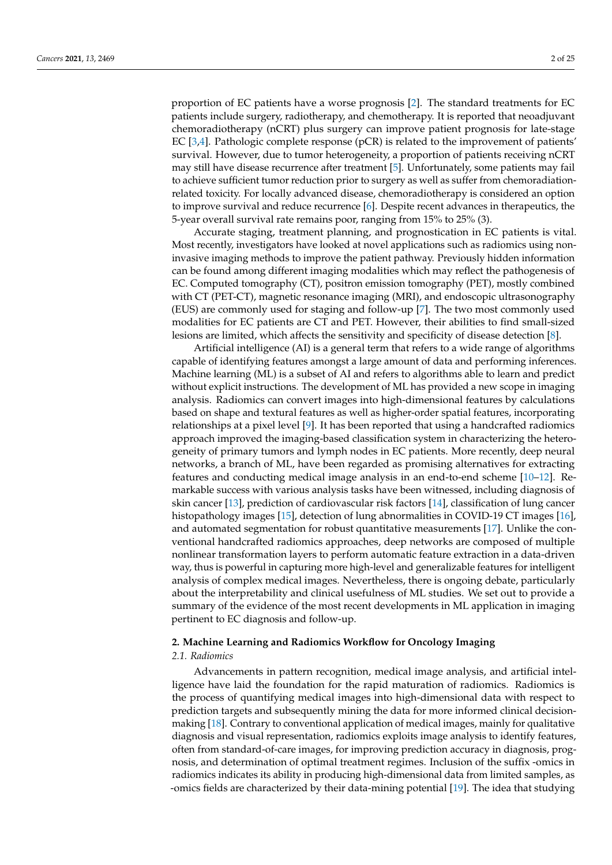proportion of EC patients have a worse prognosis [\[2\]](#page-18-1). The standard treatments for EC patients include surgery, radiotherapy, and chemotherapy. It is reported that neoadjuvant chemoradiotherapy (nCRT) plus surgery can improve patient prognosis for late-stage EC [\[3,](#page-18-2)[4\]](#page-18-3). Pathologic complete response (pCR) is related to the improvement of patients' survival. However, due to tumor heterogeneity, a proportion of patients receiving nCRT may still have disease recurrence after treatment [\[5\]](#page-18-4). Unfortunately, some patients may fail to achieve sufficient tumor reduction prior to surgery as well as suffer from chemoradiationrelated toxicity. For locally advanced disease, chemoradiotherapy is considered an option to improve survival and reduce recurrence [\[6\]](#page-18-5). Despite recent advances in therapeutics, the 5-year overall survival rate remains poor, ranging from 15% to 25% (3).

Accurate staging, treatment planning, and prognostication in EC patients is vital. Most recently, investigators have looked at novel applications such as radiomics using noninvasive imaging methods to improve the patient pathway. Previously hidden information can be found among different imaging modalities which may reflect the pathogenesis of EC. Computed tomography (CT), positron emission tomography (PET), mostly combined with CT (PET-CT), magnetic resonance imaging (MRI), and endoscopic ultrasonography (EUS) are commonly used for staging and follow-up [\[7\]](#page-18-6). The two most commonly used modalities for EC patients are CT and PET. However, their abilities to find small-sized lesions are limited, which affects the sensitivity and specificity of disease detection [\[8\]](#page-18-7).

Artificial intelligence (AI) is a general term that refers to a wide range of algorithms capable of identifying features amongst a large amount of data and performing inferences. Machine learning (ML) is a subset of AI and refers to algorithms able to learn and predict without explicit instructions. The development of ML has provided a new scope in imaging analysis. Radiomics can convert images into high-dimensional features by calculations based on shape and textural features as well as higher-order spatial features, incorporating relationships at a pixel level [\[9\]](#page-19-0). It has been reported that using a handcrafted radiomics approach improved the imaging-based classification system in characterizing the heterogeneity of primary tumors and lymph nodes in EC patients. More recently, deep neural networks, a branch of ML, have been regarded as promising alternatives for extracting features and conducting medical image analysis in an end-to-end scheme [\[10–](#page-19-1)[12\]](#page-19-2). Remarkable success with various analysis tasks have been witnessed, including diagnosis of skin cancer [\[13\]](#page-19-3), prediction of cardiovascular risk factors [\[14\]](#page-19-4), classification of lung cancer histopathology images [\[15\]](#page-19-5), detection of lung abnormalities in COVID-19 CT images [\[16\]](#page-19-6), and automated segmentation for robust quantitative measurements [\[17\]](#page-19-7). Unlike the conventional handcrafted radiomics approaches, deep networks are composed of multiple nonlinear transformation layers to perform automatic feature extraction in a data-driven way, thus is powerful in capturing more high-level and generalizable features for intelligent analysis of complex medical images. Nevertheless, there is ongoing debate, particularly about the interpretability and clinical usefulness of ML studies. We set out to provide a summary of the evidence of the most recent developments in ML application in imaging pertinent to EC diagnosis and follow-up.

#### **2. Machine Learning and Radiomics Workflow for Oncology Imaging**

## *2.1. Radiomics*

Advancements in pattern recognition, medical image analysis, and artificial intelligence have laid the foundation for the rapid maturation of radiomics. Radiomics is the process of quantifying medical images into high-dimensional data with respect to prediction targets and subsequently mining the data for more informed clinical decisionmaking [\[18\]](#page-19-8). Contrary to conventional application of medical images, mainly for qualitative diagnosis and visual representation, radiomics exploits image analysis to identify features, often from standard-of-care images, for improving prediction accuracy in diagnosis, prognosis, and determination of optimal treatment regimes. Inclusion of the suffix -omics in radiomics indicates its ability in producing high-dimensional data from limited samples, as -omics fields are characterized by their data-mining potential [\[19\]](#page-19-9). The idea that studying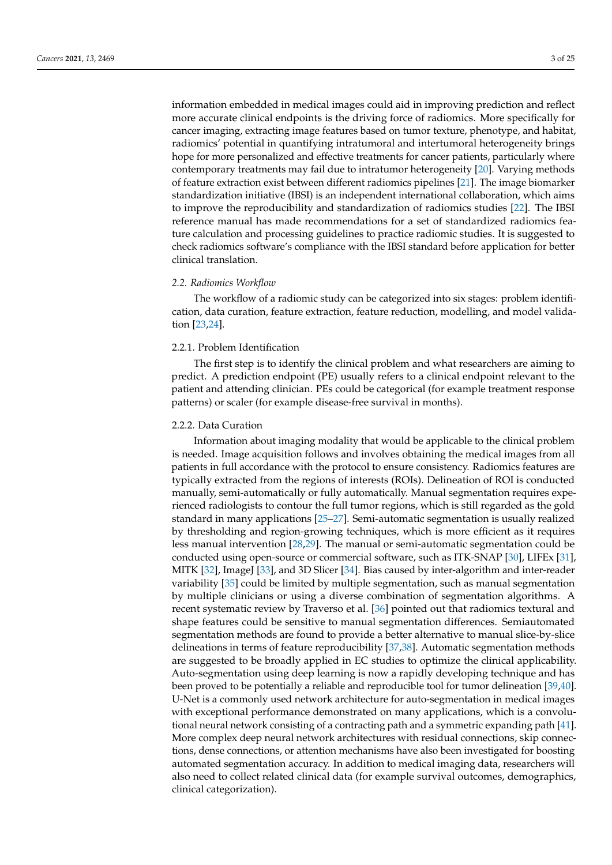information embedded in medical images could aid in improving prediction and reflect more accurate clinical endpoints is the driving force of radiomics. More specifically for cancer imaging, extracting image features based on tumor texture, phenotype, and habitat, radiomics' potential in quantifying intratumoral and intertumoral heterogeneity brings hope for more personalized and effective treatments for cancer patients, particularly where contemporary treatments may fail due to intratumor heterogeneity [\[20\]](#page-19-10). Varying methods of feature extraction exist between different radiomics pipelines [\[21\]](#page-19-11). The image biomarker standardization initiative (IBSI) is an independent international collaboration, which aims to improve the reproducibility and standardization of radiomics studies [\[22\]](#page-19-12). The IBSI reference manual has made recommendations for a set of standardized radiomics feature calculation and processing guidelines to practice radiomic studies. It is suggested to check radiomics software's compliance with the IBSI standard before application for better clinical translation.

## *2.2. Radiomics Workflow*

The workflow of a radiomic study can be categorized into six stages: problem identification, data curation, feature extraction, feature reduction, modelling, and model validation [\[23](#page-19-13)[,24\]](#page-19-14).

## 2.2.1. Problem Identification

The first step is to identify the clinical problem and what researchers are aiming to predict. A prediction endpoint (PE) usually refers to a clinical endpoint relevant to the patient and attending clinician. PEs could be categorical (for example treatment response patterns) or scaler (for example disease-free survival in months).

## 2.2.2. Data Curation

Information about imaging modality that would be applicable to the clinical problem is needed. Image acquisition follows and involves obtaining the medical images from all patients in full accordance with the protocol to ensure consistency. Radiomics features are typically extracted from the regions of interests (ROIs). Delineation of ROI is conducted manually, semi-automatically or fully automatically. Manual segmentation requires experienced radiologists to contour the full tumor regions, which is still regarded as the gold standard in many applications [\[25](#page-19-15)[–27\]](#page-19-16). Semi-automatic segmentation is usually realized by thresholding and region-growing techniques, which is more efficient as it requires less manual intervention [\[28,](#page-19-17)[29\]](#page-19-18). The manual or semi-automatic segmentation could be conducted using open-source or commercial software, such as ITK-SNAP [\[30\]](#page-19-19), LIFEx [\[31\]](#page-20-0), MITK [\[32\]](#page-20-1), ImageJ [\[33\]](#page-20-2), and 3D Slicer [\[34\]](#page-20-3). Bias caused by inter-algorithm and inter-reader variability [\[35\]](#page-20-4) could be limited by multiple segmentation, such as manual segmentation by multiple clinicians or using a diverse combination of segmentation algorithms. A recent systematic review by Traverso et al. [\[36\]](#page-20-5) pointed out that radiomics textural and shape features could be sensitive to manual segmentation differences. Semiautomated segmentation methods are found to provide a better alternative to manual slice-by-slice delineations in terms of feature reproducibility [\[37](#page-20-6)[,38\]](#page-20-7). Automatic segmentation methods are suggested to be broadly applied in EC studies to optimize the clinical applicability. Auto-segmentation using deep learning is now a rapidly developing technique and has been proved to be potentially a reliable and reproducible tool for tumor delineation [\[39](#page-20-8)[,40\]](#page-20-9). U-Net is a commonly used network architecture for auto-segmentation in medical images with exceptional performance demonstrated on many applications, which is a convolutional neural network consisting of a contracting path and a symmetric expanding path [\[41\]](#page-20-10). More complex deep neural network architectures with residual connections, skip connections, dense connections, or attention mechanisms have also been investigated for boosting automated segmentation accuracy. In addition to medical imaging data, researchers will also need to collect related clinical data (for example survival outcomes, demographics, clinical categorization).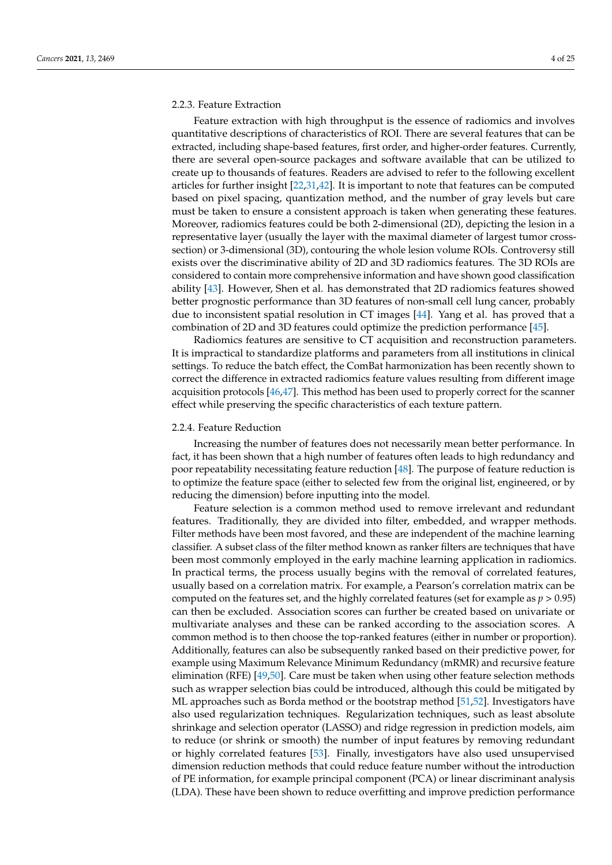# 2.2.3. Feature Extraction

Feature extraction with high throughput is the essence of radiomics and involves quantitative descriptions of characteristics of ROI. There are several features that can be extracted, including shape-based features, first order, and higher-order features. Currently, there are several open-source packages and software available that can be utilized to create up to thousands of features. Readers are advised to refer to the following excellent articles for further insight [\[22](#page-19-12)[,31](#page-20-0)[,42\]](#page-20-11). It is important to note that features can be computed based on pixel spacing, quantization method, and the number of gray levels but care must be taken to ensure a consistent approach is taken when generating these features. Moreover, radiomics features could be both 2-dimensional (2D), depicting the lesion in a representative layer (usually the layer with the maximal diameter of largest tumor crosssection) or 3-dimensional (3D), contouring the whole lesion volume ROIs. Controversy still exists over the discriminative ability of 2D and 3D radiomics features. The 3D ROIs are considered to contain more comprehensive information and have shown good classification ability [\[43\]](#page-20-12). However, Shen et al. has demonstrated that 2D radiomics features showed better prognostic performance than 3D features of non-small cell lung cancer, probably due to inconsistent spatial resolution in CT images [\[44\]](#page-20-13). Yang et al. has proved that a combination of 2D and 3D features could optimize the prediction performance [\[45\]](#page-20-14).

Radiomics features are sensitive to CT acquisition and reconstruction parameters. It is impractical to standardize platforms and parameters from all institutions in clinical settings. To reduce the batch effect, the ComBat harmonization has been recently shown to correct the difference in extracted radiomics feature values resulting from different image acquisition protocols [\[46,](#page-20-15)[47\]](#page-20-16). This method has been used to properly correct for the scanner effect while preserving the specific characteristics of each texture pattern.

## 2.2.4. Feature Reduction

Increasing the number of features does not necessarily mean better performance. In fact, it has been shown that a high number of features often leads to high redundancy and poor repeatability necessitating feature reduction [\[48\]](#page-20-17). The purpose of feature reduction is to optimize the feature space (either to selected few from the original list, engineered, or by reducing the dimension) before inputting into the model.

Feature selection is a common method used to remove irrelevant and redundant features. Traditionally, they are divided into filter, embedded, and wrapper methods. Filter methods have been most favored, and these are independent of the machine learning classifier. A subset class of the filter method known as ranker filters are techniques that have been most commonly employed in the early machine learning application in radiomics. In practical terms, the process usually begins with the removal of correlated features, usually based on a correlation matrix. For example, a Pearson's correlation matrix can be computed on the features set, and the highly correlated features (set for example as *p* > 0.95) can then be excluded. Association scores can further be created based on univariate or multivariate analyses and these can be ranked according to the association scores. A common method is to then choose the top-ranked features (either in number or proportion). Additionally, features can also be subsequently ranked based on their predictive power, for example using Maximum Relevance Minimum Redundancy (mRMR) and recursive feature elimination (RFE) [\[49,](#page-20-18)[50\]](#page-20-19). Care must be taken when using other feature selection methods such as wrapper selection bias could be introduced, although this could be mitigated by ML approaches such as Borda method or the bootstrap method [\[51](#page-20-20)[,52\]](#page-20-21). Investigators have also used regularization techniques. Regularization techniques, such as least absolute shrinkage and selection operator (LASSO) and ridge regression in prediction models, aim to reduce (or shrink or smooth) the number of input features by removing redundant or highly correlated features [\[53\]](#page-20-22). Finally, investigators have also used unsupervised dimension reduction methods that could reduce feature number without the introduction of PE information, for example principal component (PCA) or linear discriminant analysis (LDA). These have been shown to reduce overfitting and improve prediction performance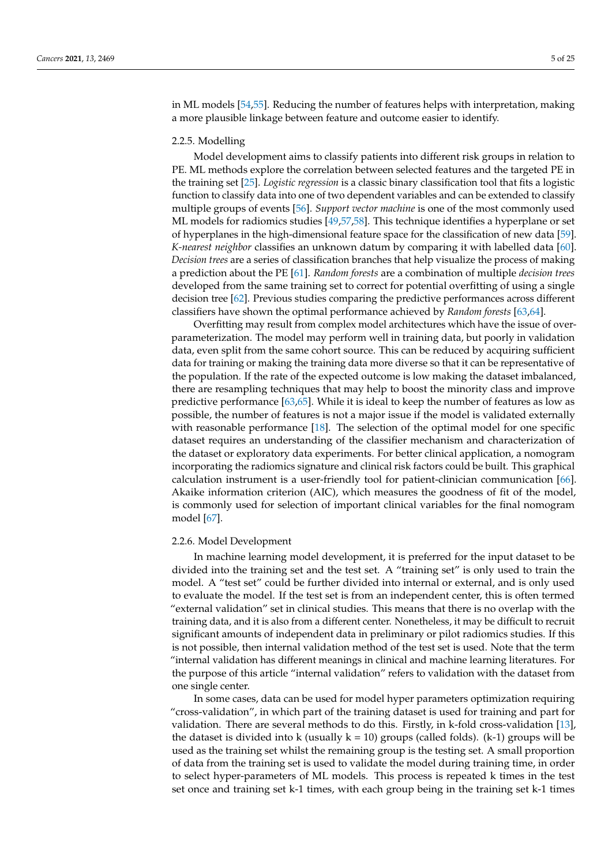in ML models [\[54,](#page-20-23)[55\]](#page-20-24). Reducing the number of features helps with interpretation, making a more plausible linkage between feature and outcome easier to identify.

## 2.2.5. Modelling

Model development aims to classify patients into different risk groups in relation to PE. ML methods explore the correlation between selected features and the targeted PE in the training set [\[25\]](#page-19-15). *Logistic regression* is a classic binary classification tool that fits a logistic function to classify data into one of two dependent variables and can be extended to classify multiple groups of events [\[56\]](#page-20-25). *Support vector machine* is one of the most commonly used ML models for radiomics studies [\[49](#page-20-18)[,57](#page-21-0)[,58\]](#page-21-1). This technique identifies a hyperplane or set of hyperplanes in the high-dimensional feature space for the classification of new data [\[59\]](#page-21-2). *K-nearest neighbor* classifies an unknown datum by comparing it with labelled data [\[60\]](#page-21-3). *Decision trees* are a series of classification branches that help visualize the process of making a prediction about the PE [\[61\]](#page-21-4). *Random forests* are a combination of multiple *decision trees* developed from the same training set to correct for potential overfitting of using a single decision tree [\[62\]](#page-21-5). Previous studies comparing the predictive performances across different classifiers have shown the optimal performance achieved by *Random forests* [\[63,](#page-21-6)[64\]](#page-21-7).

Overfitting may result from complex model architectures which have the issue of overparameterization. The model may perform well in training data, but poorly in validation data, even split from the same cohort source. This can be reduced by acquiring sufficient data for training or making the training data more diverse so that it can be representative of the population. If the rate of the expected outcome is low making the dataset imbalanced, there are resampling techniques that may help to boost the minority class and improve predictive performance  $[63,65]$  $[63,65]$ . While it is ideal to keep the number of features as low as possible, the number of features is not a major issue if the model is validated externally with reasonable performance [\[18\]](#page-19-8). The selection of the optimal model for one specific dataset requires an understanding of the classifier mechanism and characterization of the dataset or exploratory data experiments. For better clinical application, a nomogram incorporating the radiomics signature and clinical risk factors could be built. This graphical calculation instrument is a user-friendly tool for patient-clinician communication [\[66\]](#page-21-9). Akaike information criterion (AIC), which measures the goodness of fit of the model, is commonly used for selection of important clinical variables for the final nomogram model [\[67\]](#page-21-10).

## 2.2.6. Model Development

In machine learning model development, it is preferred for the input dataset to be divided into the training set and the test set. A "training set" is only used to train the model. A "test set" could be further divided into internal or external, and is only used to evaluate the model. If the test set is from an independent center, this is often termed "external validation" set in clinical studies. This means that there is no overlap with the training data, and it is also from a different center. Nonetheless, it may be difficult to recruit significant amounts of independent data in preliminary or pilot radiomics studies. If this is not possible, then internal validation method of the test set is used. Note that the term "internal validation has different meanings in clinical and machine learning literatures. For the purpose of this article "internal validation" refers to validation with the dataset from one single center.

In some cases, data can be used for model hyper parameters optimization requiring "cross-validation", in which part of the training dataset is used for training and part for validation. There are several methods to do this. Firstly, in k-fold cross-validation [\[13\]](#page-19-3), the dataset is divided into k (usually  $k = 10$ ) groups (called folds). (k-1) groups will be used as the training set whilst the remaining group is the testing set. A small proportion of data from the training set is used to validate the model during training time, in order to select hyper-parameters of ML models. This process is repeated k times in the test set once and training set k-1 times, with each group being in the training set k-1 times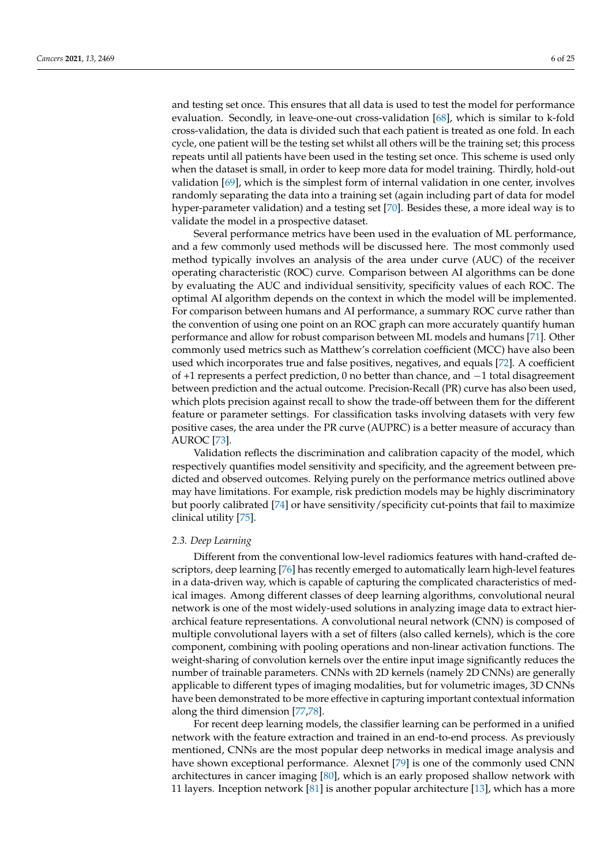and testing set once. This ensures that all data is used to test the model for performance evaluation. Secondly, in leave-one-out cross-validation [\[68\]](#page-21-11), which is similar to k-fold cross-validation, the data is divided such that each patient is treated as one fold. In each cycle, one patient will be the testing set whilst all others will be the training set; this process repeats until all patients have been used in the testing set once. This scheme is used only when the dataset is small, in order to keep more data for model training. Thirdly, hold-out validation [\[69\]](#page-21-12), which is the simplest form of internal validation in one center, involves randomly separating the data into a training set (again including part of data for model hyper-parameter validation) and a testing set [\[70\]](#page-21-13). Besides these, a more ideal way is to validate the model in a prospective dataset.

Several performance metrics have been used in the evaluation of ML performance, and a few commonly used methods will be discussed here. The most commonly used method typically involves an analysis of the area under curve (AUC) of the receiver operating characteristic (ROC) curve. Comparison between AI algorithms can be done by evaluating the AUC and individual sensitivity, specificity values of each ROC. The optimal AI algorithm depends on the context in which the model will be implemented. For comparison between humans and AI performance, a summary ROC curve rather than the convention of using one point on an ROC graph can more accurately quantify human performance and allow for robust comparison between ML models and humans [\[71\]](#page-21-14). Other commonly used metrics such as Matthew's correlation coefficient (MCC) have also been used which incorporates true and false positives, negatives, and equals [\[72\]](#page-21-15). A coefficient of +1 represents a perfect prediction, 0 no better than chance, and −1 total disagreement between prediction and the actual outcome. Precision-Recall (PR) curve has also been used, which plots precision against recall to show the trade-off between them for the different feature or parameter settings. For classification tasks involving datasets with very few positive cases, the area under the PR curve (AUPRC) is a better measure of accuracy than AUROC [\[73\]](#page-21-16).

Validation reflects the discrimination and calibration capacity of the model, which respectively quantifies model sensitivity and specificity, and the agreement between predicted and observed outcomes. Relying purely on the performance metrics outlined above may have limitations. For example, risk prediction models may be highly discriminatory but poorly calibrated [\[74\]](#page-21-17) or have sensitivity/specificity cut-points that fail to maximize clinical utility [\[75\]](#page-21-18).

## *2.3. Deep Learning*

Different from the conventional low-level radiomics features with hand-crafted descriptors, deep learning [\[76\]](#page-21-19) has recently emerged to automatically learn high-level features in a data-driven way, which is capable of capturing the complicated characteristics of medical images. Among different classes of deep learning algorithms, convolutional neural network is one of the most widely-used solutions in analyzing image data to extract hierarchical feature representations. A convolutional neural network (CNN) is composed of multiple convolutional layers with a set of filters (also called kernels), which is the core component, combining with pooling operations and non-linear activation functions. The weight-sharing of convolution kernels over the entire input image significantly reduces the number of trainable parameters. CNNs with 2D kernels (namely 2D CNNs) are generally applicable to different types of imaging modalities, but for volumetric images, 3D CNNs have been demonstrated to be more effective in capturing important contextual information along the third dimension [\[77](#page-21-20)[,78\]](#page-21-21).

For recent deep learning models, the classifier learning can be performed in a unified network with the feature extraction and trained in an end-to-end process. As previously mentioned, CNNs are the most popular deep networks in medical image analysis and have shown exceptional performance. Alexnet [\[79\]](#page-21-22) is one of the commonly used CNN architectures in cancer imaging [\[80\]](#page-21-23), which is an early proposed shallow network with 11 layers. Inception network [\[81\]](#page-21-24) is another popular architecture [\[13\]](#page-19-3), which has a more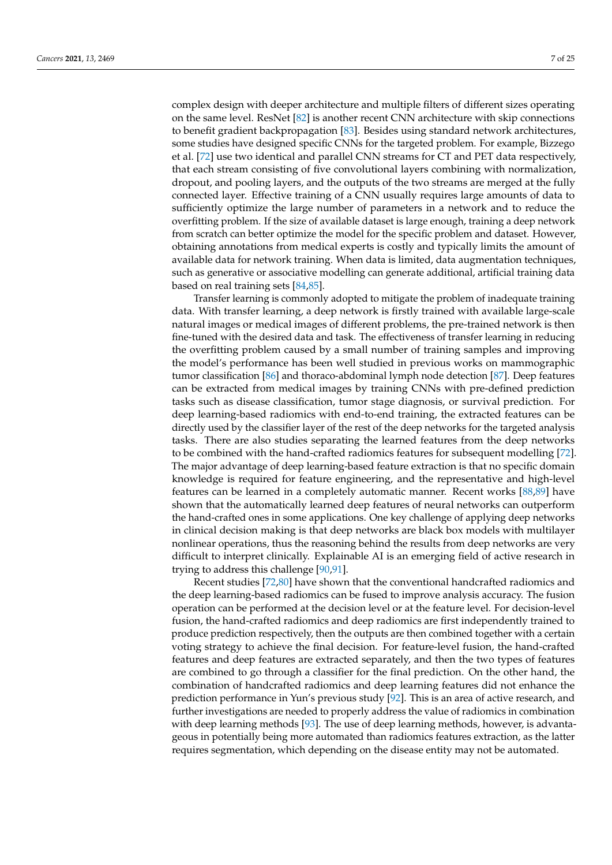complex design with deeper architecture and multiple filters of different sizes operating on the same level. ResNet [\[82\]](#page-21-25) is another recent CNN architecture with skip connections to benefit gradient backpropagation [\[83\]](#page-21-26). Besides using standard network architectures, some studies have designed specific CNNs for the targeted problem. For example, Bizzego et al. [\[72\]](#page-21-15) use two identical and parallel CNN streams for CT and PET data respectively, that each stream consisting of five convolutional layers combining with normalization, dropout, and pooling layers, and the outputs of the two streams are merged at the fully connected layer. Effective training of a CNN usually requires large amounts of data to sufficiently optimize the large number of parameters in a network and to reduce the overfitting problem. If the size of available dataset is large enough, training a deep network from scratch can better optimize the model for the specific problem and dataset. However, obtaining annotations from medical experts is costly and typically limits the amount of available data for network training. When data is limited, data augmentation techniques, such as generative or associative modelling can generate additional, artificial training data based on real training sets [\[84](#page-21-27)[,85\]](#page-21-28).

Transfer learning is commonly adopted to mitigate the problem of inadequate training data. With transfer learning, a deep network is firstly trained with available large-scale natural images or medical images of different problems, the pre-trained network is then fine-tuned with the desired data and task. The effectiveness of transfer learning in reducing the overfitting problem caused by a small number of training samples and improving the model's performance has been well studied in previous works on mammographic tumor classification [\[86\]](#page-21-29) and thoraco-abdominal lymph node detection [\[87\]](#page-22-0). Deep features can be extracted from medical images by training CNNs with pre-defined prediction tasks such as disease classification, tumor stage diagnosis, or survival prediction. For deep learning-based radiomics with end-to-end training, the extracted features can be directly used by the classifier layer of the rest of the deep networks for the targeted analysis tasks. There are also studies separating the learned features from the deep networks to be combined with the hand-crafted radiomics features for subsequent modelling [\[72\]](#page-21-15). The major advantage of deep learning-based feature extraction is that no specific domain knowledge is required for feature engineering, and the representative and high-level features can be learned in a completely automatic manner. Recent works [\[88](#page-22-1)[,89\]](#page-22-2) have shown that the automatically learned deep features of neural networks can outperform the hand-crafted ones in some applications. One key challenge of applying deep networks in clinical decision making is that deep networks are black box models with multilayer nonlinear operations, thus the reasoning behind the results from deep networks are very difficult to interpret clinically. Explainable AI is an emerging field of active research in trying to address this challenge [\[90](#page-22-3)[,91\]](#page-22-4).

Recent studies [\[72](#page-21-15)[,80\]](#page-21-23) have shown that the conventional handcrafted radiomics and the deep learning-based radiomics can be fused to improve analysis accuracy. The fusion operation can be performed at the decision level or at the feature level. For decision-level fusion, the hand-crafted radiomics and deep radiomics are first independently trained to produce prediction respectively, then the outputs are then combined together with a certain voting strategy to achieve the final decision. For feature-level fusion, the hand-crafted features and deep features are extracted separately, and then the two types of features are combined to go through a classifier for the final prediction. On the other hand, the combination of handcrafted radiomics and deep learning features did not enhance the prediction performance in Yun's previous study [\[92\]](#page-22-5). This is an area of active research, and further investigations are needed to properly address the value of radiomics in combination with deep learning methods [\[93\]](#page-22-6). The use of deep learning methods, however, is advantageous in potentially being more automated than radiomics features extraction, as the latter requires segmentation, which depending on the disease entity may not be automated.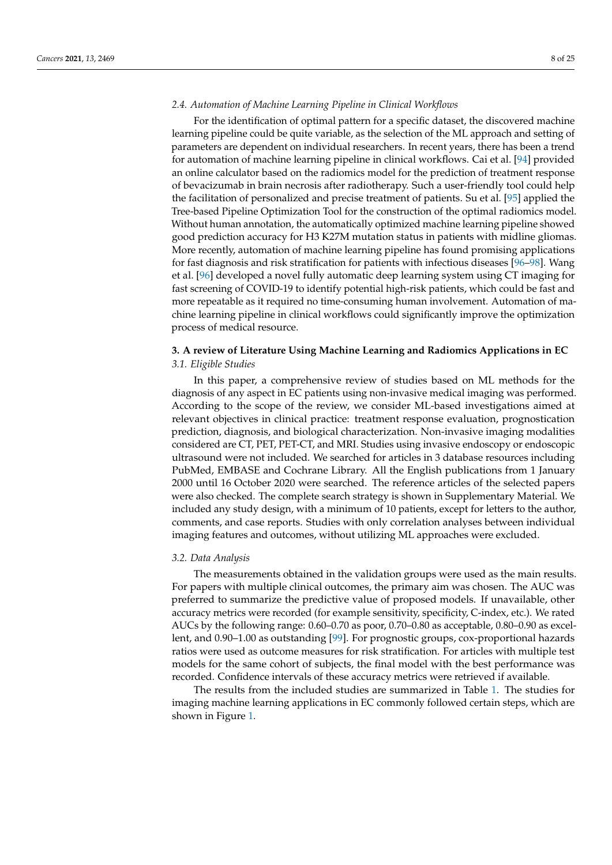# *2.4. Automation of Machine Learning Pipeline in Clinical Workflows*

For the identification of optimal pattern for a specific dataset, the discovered machine learning pipeline could be quite variable, as the selection of the ML approach and setting of parameters are dependent on individual researchers. In recent years, there has been a trend for automation of machine learning pipeline in clinical workflows. Cai et al. [\[94\]](#page-22-7) provided an online calculator based on the radiomics model for the prediction of treatment response of bevacizumab in brain necrosis after radiotherapy. Such a user-friendly tool could help the facilitation of personalized and precise treatment of patients. Su et al. [\[95\]](#page-22-8) applied the Tree-based Pipeline Optimization Tool for the construction of the optimal radiomics model. Without human annotation, the automatically optimized machine learning pipeline showed good prediction accuracy for H3 K27M mutation status in patients with midline gliomas. More recently, automation of machine learning pipeline has found promising applications for fast diagnosis and risk stratification for patients with infectious diseases [\[96–](#page-22-9)[98\]](#page-22-10). Wang et al. [\[96\]](#page-22-9) developed a novel fully automatic deep learning system using CT imaging for fast screening of COVID-19 to identify potential high-risk patients, which could be fast and more repeatable as it required no time-consuming human involvement. Automation of machine learning pipeline in clinical workflows could significantly improve the optimization process of medical resource.

# **3. A review of Literature Using Machine Learning and Radiomics Applications in EC** *3.1. Eligible Studies*

In this paper, a comprehensive review of studies based on ML methods for the diagnosis of any aspect in EC patients using non-invasive medical imaging was performed. According to the scope of the review, we consider ML-based investigations aimed at relevant objectives in clinical practice: treatment response evaluation, prognostication prediction, diagnosis, and biological characterization. Non-invasive imaging modalities considered are CT, PET, PET-CT, and MRI. Studies using invasive endoscopy or endoscopic ultrasound were not included. We searched for articles in 3 database resources including PubMed, EMBASE and Cochrane Library. All the English publications from 1 January 2000 until 16 October 2020 were searched. The reference articles of the selected papers were also checked. The complete search strategy is shown in Supplementary Material. We included any study design, with a minimum of 10 patients, except for letters to the author, comments, and case reports. Studies with only correlation analyses between individual imaging features and outcomes, without utilizing ML approaches were excluded.

## *3.2. Data Analysis*

The measurements obtained in the validation groups were used as the main results. For papers with multiple clinical outcomes, the primary aim was chosen. The AUC was preferred to summarize the predictive value of proposed models. If unavailable, other accuracy metrics were recorded (for example sensitivity, specificity, C-index, etc.). We rated AUCs by the following range: 0.60–0.70 as poor, 0.70–0.80 as acceptable, 0.80–0.90 as excellent, and 0.90–1.00 as outstanding [\[99\]](#page-22-11). For prognostic groups, cox-proportional hazards ratios were used as outcome measures for risk stratification. For articles with multiple test models for the same cohort of subjects, the final model with the best performance was recorded. Confidence intervals of these accuracy metrics were retrieved if available.

The results from the included studies are summarized in Table [1.](#page-12-0) The studies for imaging machine learning applications in EC commonly followed certain steps, which are shown in Figure [1.](#page-13-0)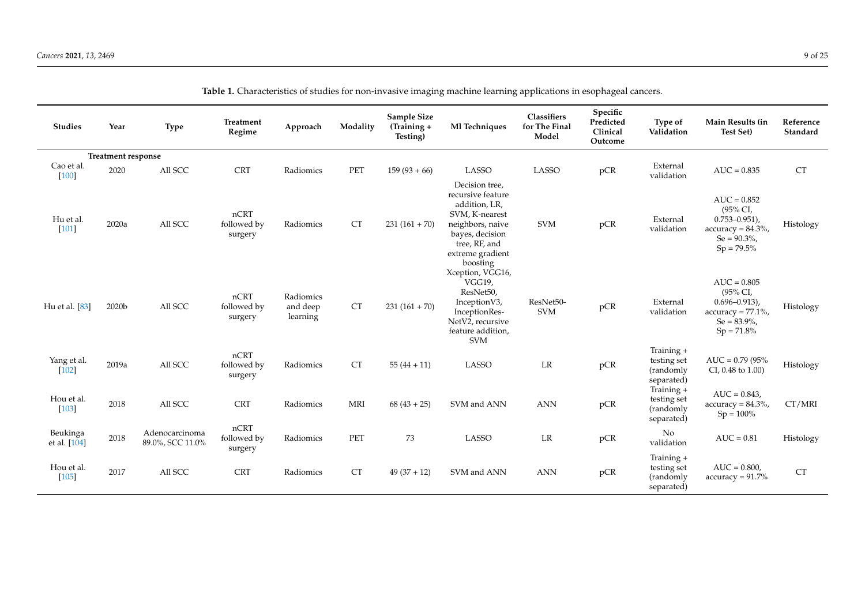| <b>Studies</b>           | Year                      | <b>Type</b>                        | Treatment<br>Regime            | Approach                          | Modality  | Sample Size<br>(Training +<br>Testing) | Ml Techniques                                                                                                                                                  | Classifiers<br>for The Final<br>Model | Specific<br>Predicted<br>Clinical<br>Outcome | Type of<br>Validation                                | Main Results (in<br><b>Test Set)</b>                                                                        | Reference<br>Standard |
|--------------------------|---------------------------|------------------------------------|--------------------------------|-----------------------------------|-----------|----------------------------------------|----------------------------------------------------------------------------------------------------------------------------------------------------------------|---------------------------------------|----------------------------------------------|------------------------------------------------------|-------------------------------------------------------------------------------------------------------------|-----------------------|
|                          | <b>Treatment response</b> |                                    |                                |                                   |           |                                        |                                                                                                                                                                |                                       |                                              |                                                      |                                                                                                             |                       |
| Cao et al.<br>$[100]$    | 2020                      | All SCC                            | <b>CRT</b>                     | Radiomics                         | PET       | $159(93+66)$                           | LASSO                                                                                                                                                          | LASSO                                 | pCR                                          | External<br>validation                               | $AUC = 0.835$                                                                                               | <b>CT</b>             |
| Hu et al.<br>$[101]$     | 2020a                     | All SCC                            | nCRT<br>followed by<br>surgery | Radiomics                         | CT        | $231(161+70)$                          | Decision tree,<br>recursive feature<br>addition, LR,<br>SVM, K-nearest<br>neighbors, naive<br>bayes, decision<br>tree, RF, and<br>extreme gradient<br>boosting | <b>SVM</b>                            | pCR                                          | External<br>validation                               | $AUC = 0.852$<br>(95% CI,<br>$0.753 - 0.951$ ,<br>$accuracy = 84.3\%,$<br>$Se = 90.3\%$ ,<br>$Sp = 79.5\%$  | Histology             |
| Hu et al. [83]           | 2020b                     | All SCC                            | nCRT<br>followed by<br>surgery | Radiomics<br>and deep<br>learning | <b>CT</b> | $231(161+70)$                          | Xception, VGG16,<br><b>VGG19,</b><br>ResNet50,<br>InceptionV3,<br>InceptionRes-<br>NetV2, recursive<br>feature addition,<br><b>SVM</b>                         | ResNet50-<br><b>SVM</b>               | pCR                                          | External<br>validation                               | $AUC = 0.805$<br>(95% CI,<br>$0.696 - 0.913$ ,<br>$accuracy = 77.1\%$ ,<br>$Se = 83.9\%$ ,<br>$Sp = 71.8\%$ | Histology             |
| Yang et al.<br>$[102]$   | 2019a                     | All SCC                            | nCRT<br>followed by<br>surgery | Radiomics                         | <b>CT</b> | $55(44+11)$                            | <b>LASSO</b>                                                                                                                                                   | LR                                    | pCR                                          | Training +<br>testing set<br>(randomly<br>separated) | $AUC = 0.79 (95%$<br>CI, 0.48 to 1.00)                                                                      | Histology             |
| Hou et al.<br>$[103]$    | 2018                      | All SCC                            | <b>CRT</b>                     | Radiomics                         | MRI       | $68(43+25)$                            | SVM and ANN                                                                                                                                                    | <b>ANN</b>                            | pCR                                          | Training +<br>testing set<br>(randomly<br>separated) | $AUC = 0.843$ ,<br>$accuracy = 84.3\%,$<br>$Sp = 100\%$                                                     | CT/MRI                |
| Beukinga<br>et al. [104] | 2018                      | Adenocarcinoma<br>89.0%, SCC 11.0% | nCRT<br>followed by<br>surgery | Radiomics                         | PET       | 73                                     | <b>LASSO</b>                                                                                                                                                   | LR                                    | pCR                                          | No<br>validation                                     | $AUC = 0.81$                                                                                                | Histology             |
| Hou et al.<br>$[105]$    | 2017                      | All SCC                            | <b>CRT</b>                     | Radiomics                         | <b>CT</b> | $49(37+12)$                            | SVM and ANN                                                                                                                                                    | <b>ANN</b>                            | pCR                                          | Training +<br>testing set<br>(randomly<br>separated) | $AUC = 0.800.$<br>$accuracy = 91.7\%$                                                                       | <b>CT</b>             |

**Table 1.** Characteristics of studies for non-invasive imaging machine learning applications in esophageal cancers.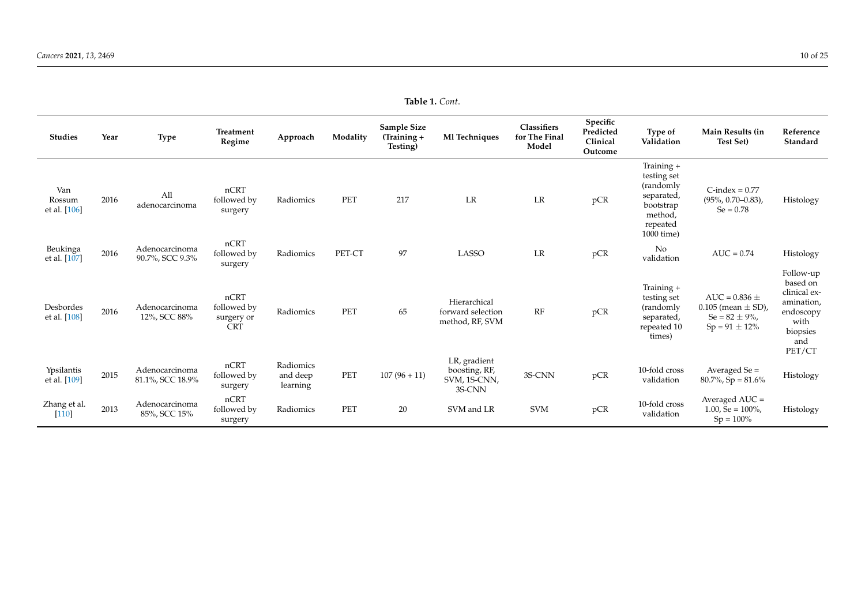| <b>Studies</b>                | Year | <b>Type</b>                        | <b>Treatment</b><br>Regime                      | Approach                          | Modality | Sample Size<br>$(Training +$<br>Testing) | Ml Techniques                                           | Classifiers<br>for The Final<br>Model | Specific<br>Predicted<br>Clinical<br>Outcome | Type of<br>Validation                                                                                   | Main Results (in<br><b>Test Set)</b>                                                       | Reference<br>Standard                                                                                 |
|-------------------------------|------|------------------------------------|-------------------------------------------------|-----------------------------------|----------|------------------------------------------|---------------------------------------------------------|---------------------------------------|----------------------------------------------|---------------------------------------------------------------------------------------------------------|--------------------------------------------------------------------------------------------|-------------------------------------------------------------------------------------------------------|
| Van<br>Rossum<br>et al. [106] | 2016 | All<br>adenocarcinoma              | nCRT<br>followed by<br>surgery                  | Radiomics                         | PET      | 217                                      | LR                                                      | LR                                    | pCR                                          | Training +<br>testing set<br>(randomly)<br>separated,<br>bootstrap<br>method,<br>repeated<br>1000 time) | $C$ -index = $0.77$<br>$(95\%, 0.70-0.83),$<br>$Se = 0.78$                                 | Histology                                                                                             |
| Beukinga<br>et al. [107]      | 2016 | Adenocarcinoma<br>90.7%, SCC 9.3%  | nCRT<br>followed by<br>surgery                  | Radiomics                         | PET-CT   | 97                                       | <b>LASSO</b>                                            | LR                                    | pCR                                          | No<br>validation                                                                                        | $AUC = 0.74$                                                                               | Histology                                                                                             |
| Desbordes<br>et al. [108]     | 2016 | Adenocarcinoma<br>12%, SCC 88%     | nCRT<br>followed by<br>surgery or<br><b>CRT</b> | Radiomics                         | PET      | 65                                       | Hierarchical<br>forward selection<br>method, RF, SVM    | RF                                    | pCR                                          | Training +<br>testing set<br>(randomly<br>separated,<br>repeated 10<br>times)                           | AUC = $0.836 \pm$<br>$0.105$ (mean $\pm$ SD),<br>Se = $82 \pm 9\%$ ,<br>$Sp = 91 \pm 12\%$ | Follow-up<br>based on<br>clinical ex-<br>amination,<br>endoscopy<br>with<br>biopsies<br>and<br>PET/CT |
| Ypsilantis<br>et al. [109]    | 2015 | Adenocarcinoma<br>81.1%, SCC 18.9% | nCRT<br>followed by<br>surgery                  | Radiomics<br>and deep<br>learning | PET      | $107(96+11)$                             | LR, gradient<br>boosting, RF,<br>SVM, 1S-CNN,<br>3S-CNN | 3S-CNN                                | pCR                                          | 10-fold cross<br>validation                                                                             | Averaged $Se =$<br>$80.7\%$ , Sp = $81.6\%$                                                | Histology                                                                                             |
| Zhang et al.<br>$[110]$       | 2013 | Adenocarcinoma<br>85%, SCC 15%     | nCRT<br>followed by<br>surgery                  | Radiomics                         | PET      | 20                                       | SVM and LR                                              | <b>SVM</b>                            | pCR                                          | 10-fold cross<br>validation                                                                             | Averaged AUC =<br>$1.00$ , Se = $100\%$ ,<br>$Sp = 100\%$                                  | Histology                                                                                             |

**Table 1.** *Cont*.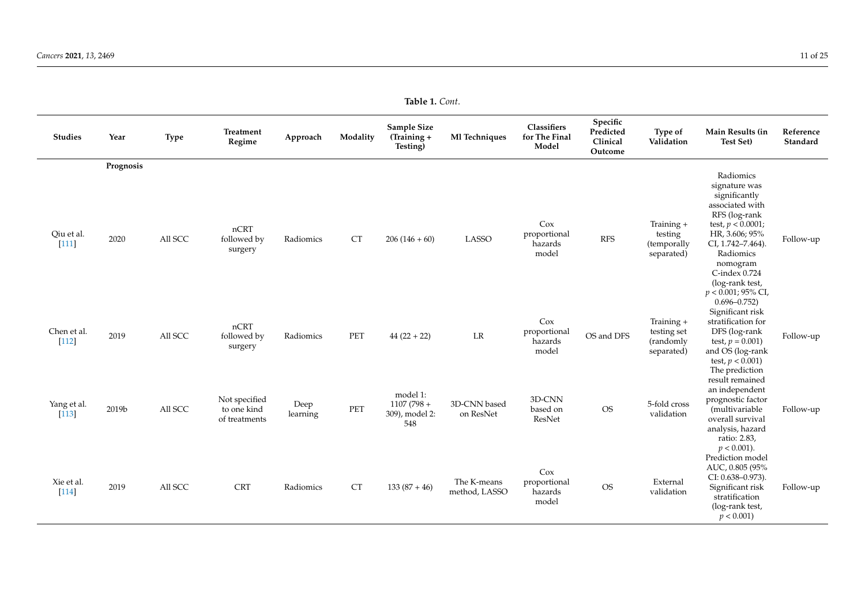| <b>Studies</b>         | Year              | <b>Type</b> | Treatment<br>Regime                           | Approach         | Modality           | Sample Size<br>(Training +<br>Testing)            | Ml Techniques                | Classifiers<br>for The Final<br>Model   | Specific<br>Predicted<br>Clinical<br>Outcome | Type of<br>Validation                                | Main Results (in<br><b>Test Set)</b>                                                                                                                                                                                                                    | Reference<br>Standard |
|------------------------|-------------------|-------------|-----------------------------------------------|------------------|--------------------|---------------------------------------------------|------------------------------|-----------------------------------------|----------------------------------------------|------------------------------------------------------|---------------------------------------------------------------------------------------------------------------------------------------------------------------------------------------------------------------------------------------------------------|-----------------------|
| Qiu et al.<br>[111]    | Prognosis<br>2020 | All SCC     | nCRT<br>followed by<br>surgery                | Radiomics        | <b>CT</b>          | $206(146+60)$                                     | <b>LASSO</b>                 | Cox<br>proportional<br>hazards<br>model | <b>RFS</b>                                   | Training +<br>testing<br>(temporally<br>separated)   | Radiomics<br>signature was<br>significantly<br>associated with<br>RFS (log-rank<br>test, $p < 0.0001$ ;<br>HR, 3.606; 95%<br>CI, 1.742-7.464).<br>Radiomics<br>nomogram<br>C-index 0.724<br>(log-rank test,<br>$p < 0.001$ ; 95% CI,<br>$0.696 - 0.752$ | Follow-up             |
| Chen et al.<br>$[112]$ | 2019              | All SCC     | nCRT<br>followed by<br>surgery                | Radiomics        | PET                | $44(22+22)$                                       | LR                           | Cox<br>proportional<br>hazards<br>model | OS and DFS                                   | Training +<br>testing set<br>(randomly<br>separated) | Significant risk<br>stratification for<br>DFS (log-rank<br>test, $p = 0.001$ )<br>and OS (log-rank<br>test, $p < 0.001$ )                                                                                                                               | Follow-up             |
| Yang et al.<br>$[113]$ | 2019b             | All SCC     | Not specified<br>to one kind<br>of treatments | Deep<br>learning | PET                | model 1:<br>$1107(798 +$<br>309), model 2:<br>548 | 3D-CNN based<br>on ResNet    | 3D-CNN<br>based on<br>ResNet            | $\rm OS$                                     | 5-fold cross<br>validation                           | The prediction<br>result remained<br>an independent<br>prognostic factor<br>(multivariable<br>overall survival<br>analysis, hazard<br>ratio: 2.83,                                                                                                      | Follow-up             |
| Xie et al.<br>$[114]$  | 2019              | All SCC     | <b>CRT</b>                                    | Radiomics        | ${\cal C}{\cal T}$ | $133(87+46)$                                      | The K-means<br>method, LASSO | Cox<br>proportional<br>hazards<br>model | <b>OS</b>                                    | External<br>validation                               | $p < 0.001$ ).<br>Prediction model<br>AUC, 0.805 (95%<br>CI: 0.638-0.973).<br>Significant risk<br>stratification<br>(log-rank test,<br>$p < 0.001$ )                                                                                                    | Follow-up             |

**Table 1.** *Cont*.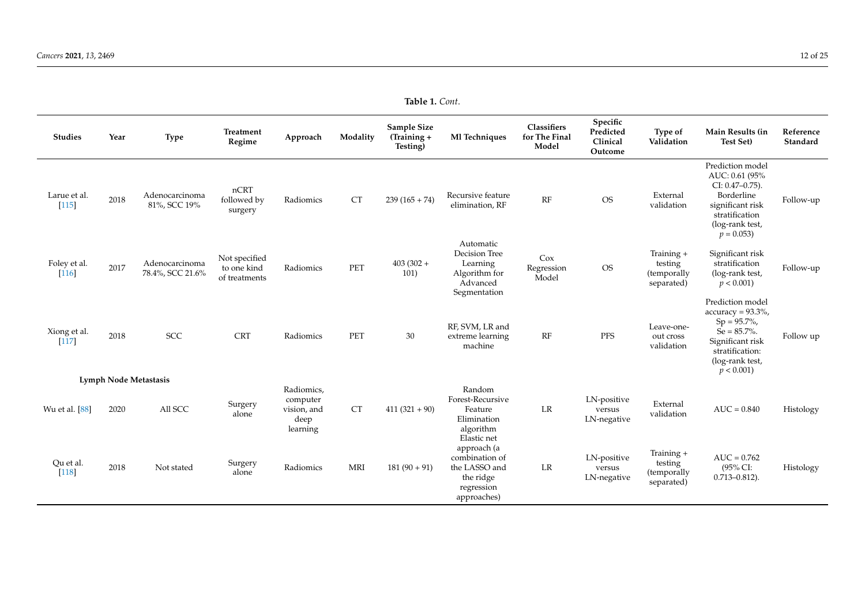| <b>Studies</b>          | Year | <b>Type</b>                        | <b>Treatment</b><br>Regime                    | Approach                              | Modality   | Sample Size<br>(Training +<br>Testing) | Ml Techniques                                                                                                                       | Classifiers<br>for The Final<br>Model | Specific<br>Predicted<br>Clinical<br>Outcome        | Type of<br>Validation                              | Main Results (in<br><b>Test Set)</b>                                                                                                                     | Reference<br>Standard |
|-------------------------|------|------------------------------------|-----------------------------------------------|---------------------------------------|------------|----------------------------------------|-------------------------------------------------------------------------------------------------------------------------------------|---------------------------------------|-----------------------------------------------------|----------------------------------------------------|----------------------------------------------------------------------------------------------------------------------------------------------------------|-----------------------|
| Larue et al.<br>$[115]$ | 2018 | Adenocarcinoma<br>81%, SCC 19%     | nCRT<br>followed by<br>surgery                | Radiomics                             | <b>CT</b>  | $239(165+74)$                          | Recursive feature<br>elimination, RF                                                                                                | RF                                    | <b>OS</b>                                           | External<br>validation                             | Prediction model<br>AUC: 0.61 (95%<br>CI: 0.47-0.75).<br>Borderline<br>significant risk<br>stratification<br>(log-rank test,<br>$p = 0.053$              | Follow-up             |
| Foley et al.<br>$[116]$ | 2017 | Adenocarcinoma<br>78.4%, SCC 21.6% | Not specified<br>to one kind<br>of treatments | Radiomics                             | PET        | $403(302 +$<br>101)                    | Automatic<br>Decision Tree<br>Learning<br>Algorithm for<br>Advanced<br>Segmentation                                                 | Cox<br>Regression<br>Model            | <b>OS</b>                                           | Training +<br>testing<br>(temporally<br>separated) | Significant risk<br>stratification<br>(log-rank test,<br>$p < 0.001$ )                                                                                   | Follow-up             |
| Xiong et al.<br>[117]   | 2018 | <b>SCC</b>                         | <b>CRT</b>                                    | Radiomics                             | PET        | 30                                     | RF, SVM, LR and<br>extreme learning<br>machine                                                                                      | RF                                    | PFS                                                 | Leave-one-<br>out cross<br>validation              | Prediction model<br>$accuracy = 93.3\%,$<br>$Sp = 95.7\%,$<br>$Se = 85.7\%$ .<br>Significant risk<br>stratification:<br>(log-rank test,<br>$p < 0.001$ ) | Follow up             |
| Wu et al. [88]          | 2020 | Lymph Node Metastasis<br>All SCC   | Surgery<br>alone                              | Radiomics,<br>computer<br>vision, and | <b>CT</b>  | $411(321+90)$                          | Random<br>Forest-Recursive<br>Feature                                                                                               | LR                                    | LN-positive<br>versus                               | External<br>validation                             | $AUC = 0.840$                                                                                                                                            | Histology             |
| Qu et al.<br>$[118]$    | 2018 | Not stated                         | Surgery<br>alone                              | deep<br>learning<br>Radiomics         | <b>MRI</b> | $181(90+91)$                           | Elimination<br>algorithm<br>Elastic net<br>approach (a<br>combination of<br>the LASSO and<br>the ridge<br>regression<br>approaches) | LR                                    | LN-negative<br>LN-positive<br>versus<br>LN-negative | Training +<br>testing<br>(temporally<br>separated) | $AUC = 0.762$<br>(95% CI:<br>$0.713 - 0.812$ ).                                                                                                          | Histology             |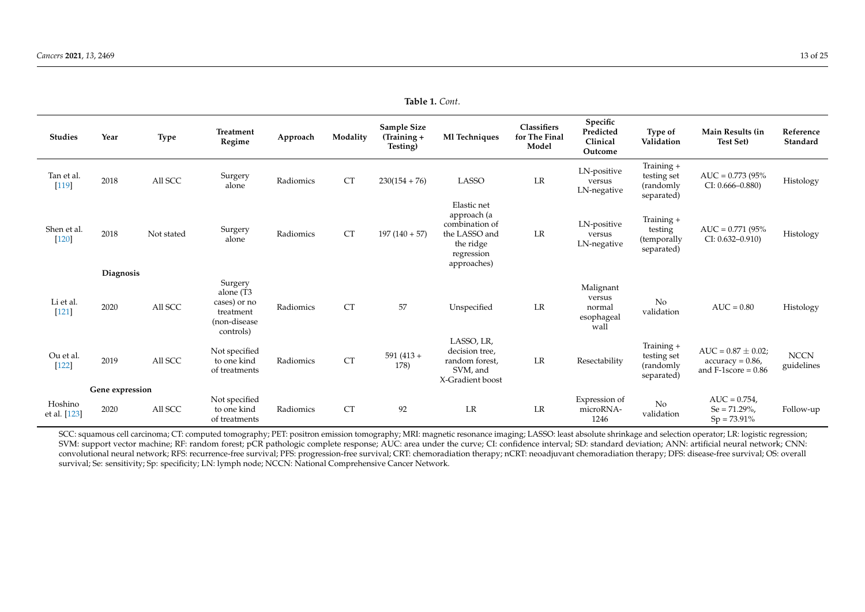| <b>Studies</b>          | Year            | Type       | <b>Treatment</b><br>Regime                                                     | Approach  | Modality  | Sample Size<br>(Training +<br>Testing) | Ml Techniques                                                                                           | Classifiers<br>for The Final<br>Model | Specific<br>Predicted<br>Clinical<br>Outcome        | Type of<br>Validation                                | Main Results (in<br><b>Test Set)</b>                                    | Reference<br>Standard     |
|-------------------------|-----------------|------------|--------------------------------------------------------------------------------|-----------|-----------|----------------------------------------|---------------------------------------------------------------------------------------------------------|---------------------------------------|-----------------------------------------------------|------------------------------------------------------|-------------------------------------------------------------------------|---------------------------|
| Tan et al.<br>$[119]$   | 2018            | All SCC    | Surgery<br>alone                                                               | Radiomics | <b>CT</b> | $230(154+76)$                          | <b>LASSO</b>                                                                                            | LR                                    | LN-positive<br>versus<br>LN-negative                | Training +<br>testing set<br>(randomly<br>separated) | $AUC = 0.773 (95%$<br>$CI: 0.666 - 0.880$                               | Histology                 |
| Shen et al.<br>$[120]$  | 2018            | Not stated | Surgery<br>alone                                                               | Radiomics | <b>CT</b> | $197(140+57)$                          | Elastic net<br>approach (a<br>combination of<br>the LASSO and<br>the ridge<br>regression<br>approaches) | LR                                    | LN-positive<br>versus<br>LN-negative                | Training +<br>testing<br>(temporally<br>separated)   | $AUC = 0.771 (95%$<br>$CI: 0.632 - 0.910$                               | Histology                 |
|                         | Diagnosis       |            |                                                                                |           |           |                                        |                                                                                                         |                                       |                                                     |                                                      |                                                                         |                           |
| Li et al.<br>$[121]$    | 2020            | All SCC    | Surgery<br>alone (T3<br>cases) or no<br>treatment<br>(non-disease<br>controls) | Radiomics | <b>CT</b> | 57                                     | Unspecified                                                                                             | LR                                    | Malignant<br>versus<br>normal<br>esophageal<br>wall | No<br>validation                                     | $AUC = 0.80$                                                            | Histology                 |
| Ou et al.<br>$[122]$    | 2019            | All SCC    | Not specified<br>to one kind<br>of treatments                                  | Radiomics | <b>CT</b> | $591(413 +$<br>178)                    | LASSO, LR,<br>decision tree,<br>random forest,<br>SVM, and<br>X-Gradient boost                          | LR                                    | Resectability                                       | Training +<br>testing set<br>(randomly<br>separated) | $AUC = 0.87 \pm 0.02$ ;<br>$accuracy = 0.86$ ,<br>and $F-1score = 0.86$ | <b>NCCN</b><br>guidelines |
|                         | Gene expression |            |                                                                                |           |           |                                        |                                                                                                         |                                       |                                                     |                                                      |                                                                         |                           |
| Hoshino<br>et al. [123] | 2020            | All SCC    | Not specified<br>to one kind<br>of treatments                                  | Radiomics | <b>CT</b> | 92                                     | LR                                                                                                      | LR                                    | Expression of<br>microRNA-<br>1246                  | No<br>validation                                     | $AUC = 0.754$ ,<br>$Se = 71.29\%$<br>$Sp = 73.91\%$                     | Follow-up                 |

**Table 1.** *Cont*.

<span id="page-12-0"></span>SCC: squamous cell carcinoma; CT: computed tomography; PET: positron emission tomography; MRI: magnetic resonance imaging; LASSO: least absolute shrinkage and selection operator; LR: logistic regression; SVM: support vector machine; RF: random forest; pCR pathologic complete response; AUC: area under the curve; CI: confidence interval; SD: standard deviation; ANN: artificial neural network; CNN: convolutional neural network; RFS: recurrence-free survival; PFS: progression-free survival; CRT: chemoradiation therapy; nCRT: neoadjuvant chemoradiation therapy; DFS: disease-free survival; OS: overall survival; Se: sensitivity; Sp: specificity; LN: lymph node; NCCN: National Comprehensive Cancer Network.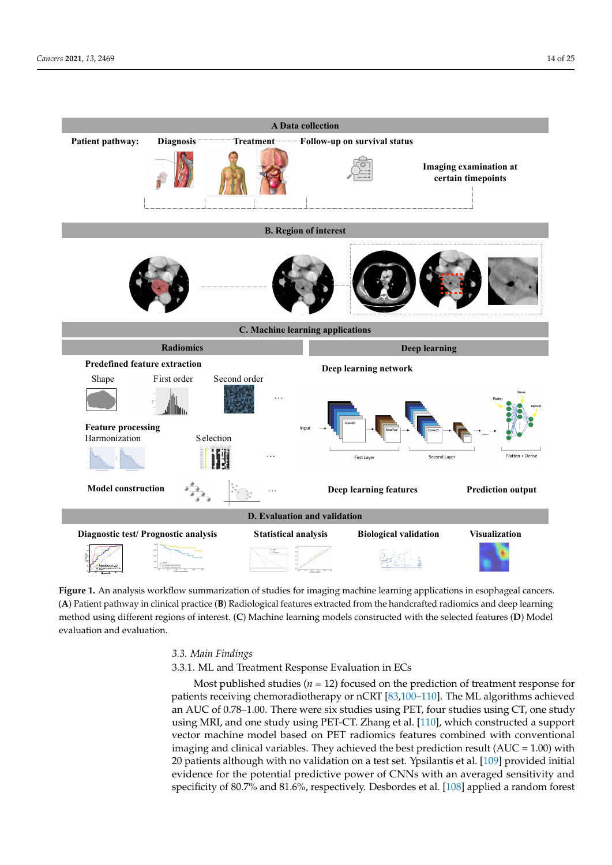<span id="page-13-0"></span>

**Figure 1.** An analysis workflow summarization of studies for imaging machine learning applications in esophageal cancers.  $(A)$  Patient pathway in clinical practice  $(B)$  Radiological features extracted from the handcrafted radiomics and deep learning method using different regions of interest. (C) Machine learning models constructed with the selected features (D) Model evaluation and evaluation.

## *3.3. Main Findings*

3.3.1. ML and Treatment Response Evaluation in ECs

Most published studies (*n* = 12) focused on the prediction of treatment response for patients receiving chemoradiotherapy or nCRT [\[83,](#page-21-26)[100](#page-22-22)[–110\]](#page-23-15). The ML algorithms achieved an AUC of 0.78–1.00. There were six studies using PET, four studies using CT, one study using MRI, and one study using PET-CT. Zhang et al. [\[110\]](#page-23-15), which constructed a support vector machine model based on PET radiomics features combined with conventional imaging and clinical variables. They achieved the best prediction result  $(AUC = 1.00)$  with 20 patients although with no validation on a test set. Ypsilantis et al. [\[109\]](#page-23-16) provided initial evidence for the potential predictive power of CNNs with an averaged sensitivity and specificity of 80.7% and 81.6%, respectively. Desbordes et al. [\[108\]](#page-22-23) applied a random forest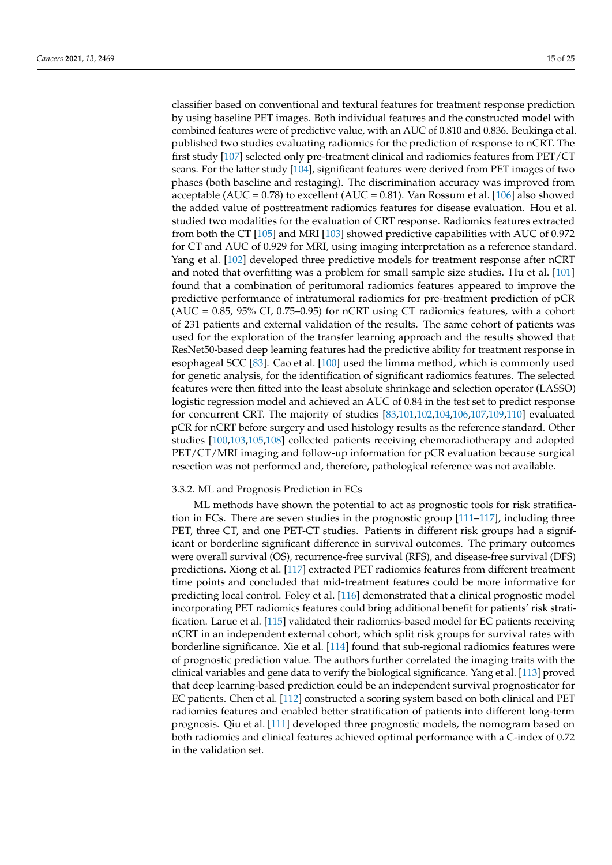classifier based on conventional and textural features for treatment response prediction by using baseline PET images. Both individual features and the constructed model with combined features were of predictive value, with an AUC of 0.810 and 0.836. Beukinga et al. published two studies evaluating radiomics for the prediction of response to nCRT. The first study [\[107\]](#page-22-24) selected only pre-treatment clinical and radiomics features from PET/CT scans. For the latter study [\[104\]](#page-22-25), significant features were derived from PET images of two phases (both baseline and restaging). The discrimination accuracy was improved from acceptable (AUC =  $0.78$ ) to excellent (AUC =  $0.81$ ). Van Rossum et al. [\[106\]](#page-22-26) also showed the added value of posttreatment radiomics features for disease evaluation. Hou et al. studied two modalities for the evaluation of CRT response. Radiomics features extracted from both the CT [\[105\]](#page-22-27) and MRI [\[103\]](#page-22-28) showed predictive capabilities with AUC of 0.972 for CT and AUC of 0.929 for MRI, using imaging interpretation as a reference standard. Yang et al. [\[102\]](#page-22-29) developed three predictive models for treatment response after nCRT and noted that overfitting was a problem for small sample size studies. Hu et al. [\[101\]](#page-22-30) found that a combination of peritumoral radiomics features appeared to improve the predictive performance of intratumoral radiomics for pre-treatment prediction of pCR  $(AUC = 0.85, 95\% CI, 0.75-0.95)$  for nCRT using CT radiomics features, with a cohort of 231 patients and external validation of the results. The same cohort of patients was used for the exploration of the transfer learning approach and the results showed that ResNet50-based deep learning features had the predictive ability for treatment response in esophageal SCC [\[83\]](#page-21-26). Cao et al. [\[100\]](#page-22-22) used the limma method, which is commonly used for genetic analysis, for the identification of significant radiomics features. The selected features were then fitted into the least absolute shrinkage and selection operator (LASSO) logistic regression model and achieved an AUC of 0.84 in the test set to predict response for concurrent CRT. The majority of studies [\[83,](#page-21-26)[101,](#page-22-30)[102,](#page-22-29)[104,](#page-22-25)[106](#page-22-26)[,107,](#page-22-24)[109](#page-23-16)[,110\]](#page-23-15) evaluated pCR for nCRT before surgery and used histology results as the reference standard. Other studies [\[100](#page-22-22)[,103](#page-22-28)[,105](#page-22-27)[,108\]](#page-22-23) collected patients receiving chemoradiotherapy and adopted PET/CT/MRI imaging and follow-up information for pCR evaluation because surgical resection was not performed and, therefore, pathological reference was not available.

## 3.3.2. ML and Prognosis Prediction in ECs

ML methods have shown the potential to act as prognostic tools for risk stratification in ECs. There are seven studies in the prognostic group [\[111](#page-23-17)[–117\]](#page-23-18), including three PET, three CT, and one PET-CT studies. Patients in different risk groups had a significant or borderline significant difference in survival outcomes. The primary outcomes were overall survival (OS), recurrence-free survival (RFS), and disease-free survival (DFS) predictions. Xiong et al. [\[117\]](#page-23-18) extracted PET radiomics features from different treatment time points and concluded that mid-treatment features could be more informative for predicting local control. Foley et al. [\[116\]](#page-23-19) demonstrated that a clinical prognostic model incorporating PET radiomics features could bring additional benefit for patients' risk stratification. Larue et al. [\[115\]](#page-23-20) validated their radiomics-based model for EC patients receiving nCRT in an independent external cohort, which split risk groups for survival rates with borderline significance. Xie et al. [\[114\]](#page-23-21) found that sub-regional radiomics features were of prognostic prediction value. The authors further correlated the imaging traits with the clinical variables and gene data to verify the biological significance. Yang et al. [\[113\]](#page-23-22) proved that deep learning-based prediction could be an independent survival prognosticator for EC patients. Chen et al. [\[112\]](#page-23-23) constructed a scoring system based on both clinical and PET radiomics features and enabled better stratification of patients into different long-term prognosis. Qiu et al. [\[111\]](#page-23-17) developed three prognostic models, the nomogram based on both radiomics and clinical features achieved optimal performance with a C-index of 0.72 in the validation set.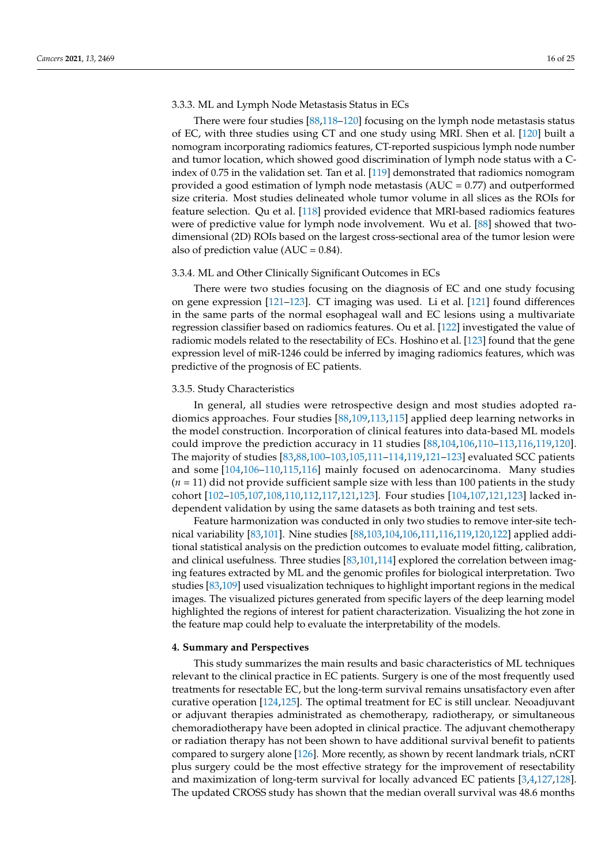# 3.3.3. ML and Lymph Node Metastasis Status in ECs

There were four studies [\[88,](#page-22-1)[118–](#page-23-24)[120\]](#page-23-25) focusing on the lymph node metastasis status of EC, with three studies using CT and one study using MRI. Shen et al. [\[120\]](#page-23-25) built a nomogram incorporating radiomics features, CT-reported suspicious lymph node number and tumor location, which showed good discrimination of lymph node status with a Cindex of 0.75 in the validation set. Tan et al. [\[119\]](#page-23-26) demonstrated that radiomics nomogram provided a good estimation of lymph node metastasis (AUC = 0.77) and outperformed size criteria. Most studies delineated whole tumor volume in all slices as the ROIs for feature selection. Qu et al. [\[118\]](#page-23-24) provided evidence that MRI-based radiomics features were of predictive value for lymph node involvement. Wu et al. [\[88\]](#page-22-1) showed that twodimensional (2D) ROIs based on the largest cross-sectional area of the tumor lesion were also of prediction value ( $AUC = 0.84$ ).

# 3.3.4. ML and Other Clinically Significant Outcomes in ECs

There were two studies focusing on the diagnosis of EC and one study focusing on gene expression [\[121–](#page-23-27)[123\]](#page-23-28). CT imaging was used. Li et al. [\[121\]](#page-23-27) found differences in the same parts of the normal esophageal wall and EC lesions using a multivariate regression classifier based on radiomics features. Ou et al. [\[122\]](#page-23-29) investigated the value of radiomic models related to the resectability of ECs. Hoshino et al. [\[123\]](#page-23-28) found that the gene expression level of miR-1246 could be inferred by imaging radiomics features, which was predictive of the prognosis of EC patients.

# 3.3.5. Study Characteristics

In general, all studies were retrospective design and most studies adopted radiomics approaches. Four studies [\[88](#page-22-1)[,109,](#page-23-16)[113,](#page-23-22)[115\]](#page-23-20) applied deep learning networks in the model construction. Incorporation of clinical features into data-based ML models could improve the prediction accuracy in 11 studies [\[88](#page-22-1)[,104,](#page-22-25)[106,](#page-22-26)[110](#page-23-15)[–113,](#page-23-22)[116](#page-23-19)[,119](#page-23-26)[,120\]](#page-23-25). The majority of studies [\[83,](#page-21-26)[88](#page-22-1)[,100](#page-22-22)[–103](#page-22-28)[,105](#page-22-27)[,111–](#page-23-17)[114](#page-23-21)[,119](#page-23-26)[,121](#page-23-27)[–123\]](#page-23-28) evaluated SCC patients and some [\[104,](#page-22-25)[106](#page-22-26)[–110](#page-23-15)[,115](#page-23-20)[,116\]](#page-23-19) mainly focused on adenocarcinoma. Many studies (*n* = 11) did not provide sufficient sample size with less than 100 patients in the study cohort [\[102–](#page-22-29)[105](#page-22-27)[,107](#page-22-24)[,108](#page-22-23)[,110](#page-23-15)[,112](#page-23-23)[,117](#page-23-18)[,121](#page-23-27)[,123\]](#page-23-28). Four studies [\[104,](#page-22-25)[107](#page-22-24)[,121](#page-23-27)[,123\]](#page-23-28) lacked independent validation by using the same datasets as both training and test sets.

Feature harmonization was conducted in only two studies to remove inter-site technical variability [\[83](#page-21-26)[,101\]](#page-22-30). Nine studies [\[88,](#page-22-1)[103,](#page-22-28)[104,](#page-22-25)[106,](#page-22-26)[111,](#page-23-17)[116,](#page-23-19)[119,](#page-23-26)[120](#page-23-25)[,122\]](#page-23-29) applied additional statistical analysis on the prediction outcomes to evaluate model fitting, calibration, and clinical usefulness. Three studies [\[83,](#page-21-26)[101,](#page-22-30)[114\]](#page-23-21) explored the correlation between imaging features extracted by ML and the genomic profiles for biological interpretation. Two studies [\[83,](#page-21-26)[109\]](#page-23-16) used visualization techniques to highlight important regions in the medical images. The visualized pictures generated from specific layers of the deep learning model highlighted the regions of interest for patient characterization. Visualizing the hot zone in the feature map could help to evaluate the interpretability of the models.

## **4. Summary and Perspectives**

This study summarizes the main results and basic characteristics of ML techniques relevant to the clinical practice in EC patients. Surgery is one of the most frequently used treatments for resectable EC, but the long-term survival remains unsatisfactory even after curative operation [\[124](#page-23-30)[,125\]](#page-23-31). The optimal treatment for EC is still unclear. Neoadjuvant or adjuvant therapies administrated as chemotherapy, radiotherapy, or simultaneous chemoradiotherapy have been adopted in clinical practice. The adjuvant chemotherapy or radiation therapy has not been shown to have additional survival benefit to patients compared to surgery alone [\[126\]](#page-23-32). More recently, as shown by recent landmark trials, nCRT plus surgery could be the most effective strategy for the improvement of resectability and maximization of long-term survival for locally advanced EC patients [\[3,](#page-18-2)[4,](#page-18-3)[127,](#page-23-33)[128\]](#page-23-34). The updated CROSS study has shown that the median overall survival was 48.6 months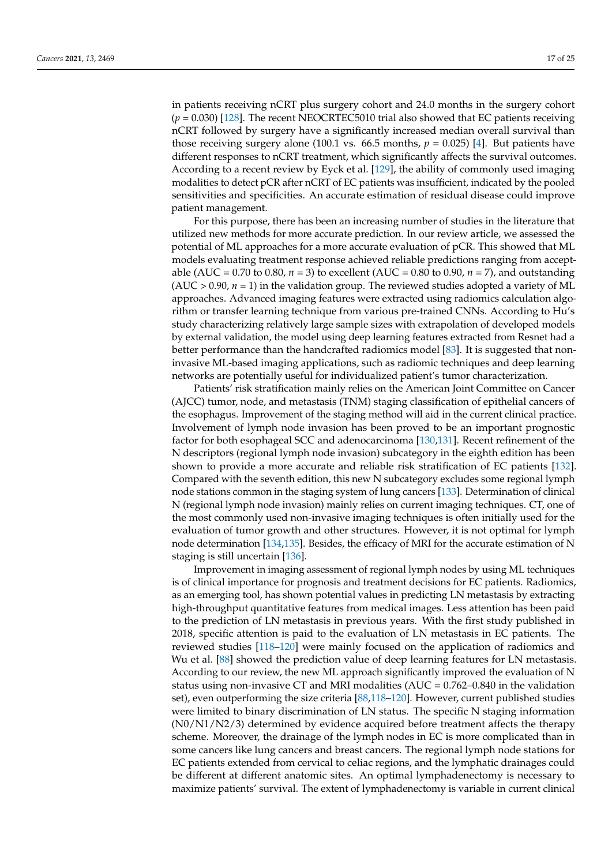in patients receiving nCRT plus surgery cohort and 24.0 months in the surgery cohort  $(p = 0.030)$  [\[128\]](#page-23-34). The recent NEOCRTEC5010 trial also showed that EC patients receiving nCRT followed by surgery have a significantly increased median overall survival than those receiving surgery alone (100.1 vs.  $66.5$  months,  $p = 0.025$ ) [\[4\]](#page-18-3). But patients have different responses to nCRT treatment, which significantly affects the survival outcomes. According to a recent review by Eyck et al. [\[129\]](#page-23-35), the ability of commonly used imaging modalities to detect pCR after nCRT of EC patients was insufficient, indicated by the pooled sensitivities and specificities. An accurate estimation of residual disease could improve patient management.

For this purpose, there has been an increasing number of studies in the literature that utilized new methods for more accurate prediction. In our review article, we assessed the potential of ML approaches for a more accurate evaluation of pCR. This showed that ML models evaluating treatment response achieved reliable predictions ranging from acceptable (AUC = 0.70 to 0.80, *n* = 3) to excellent (AUC = 0.80 to 0.90, *n* = 7), and outstanding  $(AUC > 0.90, n = 1)$  in the validation group. The reviewed studies adopted a variety of ML approaches. Advanced imaging features were extracted using radiomics calculation algorithm or transfer learning technique from various pre-trained CNNs. According to Hu's study characterizing relatively large sample sizes with extrapolation of developed models by external validation, the model using deep learning features extracted from Resnet had a better performance than the handcrafted radiomics model [\[83\]](#page-21-26). It is suggested that noninvasive ML-based imaging applications, such as radiomic techniques and deep learning networks are potentially useful for individualized patient's tumor characterization.

Patients' risk stratification mainly relies on the American Joint Committee on Cancer (AJCC) tumor, node, and metastasis (TNM) staging classification of epithelial cancers of the esophagus. Improvement of the staging method will aid in the current clinical practice. Involvement of lymph node invasion has been proved to be an important prognostic factor for both esophageal SCC and adenocarcinoma [\[130](#page-23-36)[,131\]](#page-24-0). Recent refinement of the N descriptors (regional lymph node invasion) subcategory in the eighth edition has been shown to provide a more accurate and reliable risk stratification of EC patients [\[132\]](#page-24-1). Compared with the seventh edition, this new N subcategory excludes some regional lymph node stations common in the staging system of lung cancers [\[133\]](#page-24-2). Determination of clinical N (regional lymph node invasion) mainly relies on current imaging techniques. CT, one of the most commonly used non-invasive imaging techniques is often initially used for the evaluation of tumor growth and other structures. However, it is not optimal for lymph node determination [\[134](#page-24-3)[,135\]](#page-24-4). Besides, the efficacy of MRI for the accurate estimation of N staging is still uncertain [\[136\]](#page-24-5).

Improvement in imaging assessment of regional lymph nodes by using ML techniques is of clinical importance for prognosis and treatment decisions for EC patients. Radiomics, as an emerging tool, has shown potential values in predicting LN metastasis by extracting high-throughput quantitative features from medical images. Less attention has been paid to the prediction of LN metastasis in previous years. With the first study published in 2018, specific attention is paid to the evaluation of LN metastasis in EC patients. The reviewed studies [\[118](#page-23-24)[–120\]](#page-23-25) were mainly focused on the application of radiomics and Wu et al. [\[88\]](#page-22-1) showed the prediction value of deep learning features for LN metastasis. According to our review, the new ML approach significantly improved the evaluation of N status using non-invasive CT and MRI modalities  $(AUC = 0.762 - 0.840)$  in the validation set), even outperforming the size criteria [\[88,](#page-22-1)[118](#page-23-24)[–120\]](#page-23-25). However, current published studies were limited to binary discrimination of LN status. The specific N staging information (N0/N1/N2/3) determined by evidence acquired before treatment affects the therapy scheme. Moreover, the drainage of the lymph nodes in EC is more complicated than in some cancers like lung cancers and breast cancers. The regional lymph node stations for EC patients extended from cervical to celiac regions, and the lymphatic drainages could be different at different anatomic sites. An optimal lymphadenectomy is necessary to maximize patients' survival. The extent of lymphadenectomy is variable in current clinical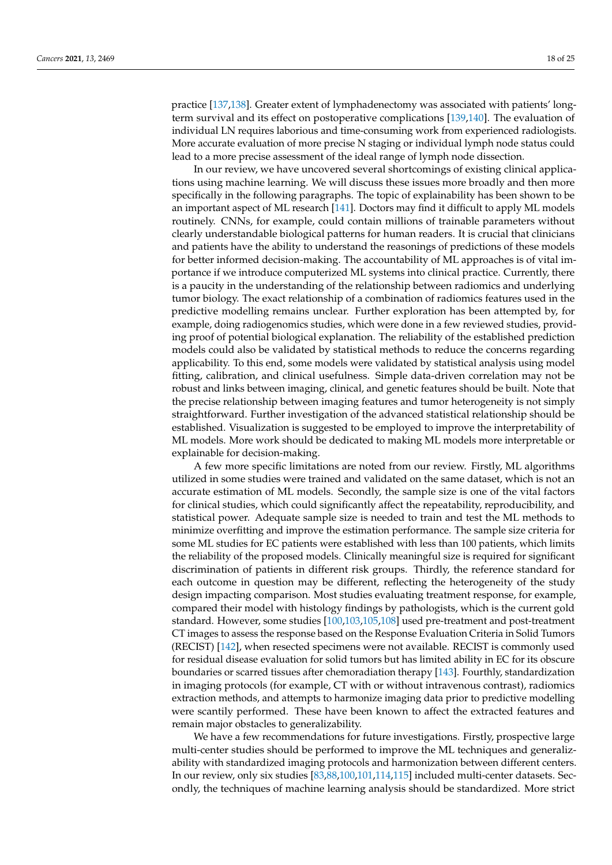practice [\[137](#page-24-6)[,138\]](#page-24-7). Greater extent of lymphadenectomy was associated with patients' longterm survival and its effect on postoperative complications [\[139,](#page-24-8)[140\]](#page-24-9). The evaluation of individual LN requires laborious and time-consuming work from experienced radiologists. More accurate evaluation of more precise N staging or individual lymph node status could lead to a more precise assessment of the ideal range of lymph node dissection.

In our review, we have uncovered several shortcomings of existing clinical applications using machine learning. We will discuss these issues more broadly and then more specifically in the following paragraphs. The topic of explainability has been shown to be an important aspect of ML research [\[141\]](#page-24-10). Doctors may find it difficult to apply ML models routinely. CNNs, for example, could contain millions of trainable parameters without clearly understandable biological patterns for human readers. It is crucial that clinicians and patients have the ability to understand the reasonings of predictions of these models for better informed decision-making. The accountability of ML approaches is of vital importance if we introduce computerized ML systems into clinical practice. Currently, there is a paucity in the understanding of the relationship between radiomics and underlying tumor biology. The exact relationship of a combination of radiomics features used in the predictive modelling remains unclear. Further exploration has been attempted by, for example, doing radiogenomics studies, which were done in a few reviewed studies, providing proof of potential biological explanation. The reliability of the established prediction models could also be validated by statistical methods to reduce the concerns regarding applicability. To this end, some models were validated by statistical analysis using model fitting, calibration, and clinical usefulness. Simple data-driven correlation may not be robust and links between imaging, clinical, and genetic features should be built. Note that the precise relationship between imaging features and tumor heterogeneity is not simply straightforward. Further investigation of the advanced statistical relationship should be established. Visualization is suggested to be employed to improve the interpretability of ML models. More work should be dedicated to making ML models more interpretable or explainable for decision-making.

A few more specific limitations are noted from our review. Firstly, ML algorithms utilized in some studies were trained and validated on the same dataset, which is not an accurate estimation of ML models. Secondly, the sample size is one of the vital factors for clinical studies, which could significantly affect the repeatability, reproducibility, and statistical power. Adequate sample size is needed to train and test the ML methods to minimize overfitting and improve the estimation performance. The sample size criteria for some ML studies for EC patients were established with less than 100 patients, which limits the reliability of the proposed models. Clinically meaningful size is required for significant discrimination of patients in different risk groups. Thirdly, the reference standard for each outcome in question may be different, reflecting the heterogeneity of the study design impacting comparison. Most studies evaluating treatment response, for example, compared their model with histology findings by pathologists, which is the current gold standard. However, some studies [\[100,](#page-22-22)[103,](#page-22-28)[105](#page-22-27)[,108\]](#page-22-23) used pre-treatment and post-treatment CT images to assess the response based on the Response Evaluation Criteria in Solid Tumors (RECIST) [\[142\]](#page-24-11), when resected specimens were not available. RECIST is commonly used for residual disease evaluation for solid tumors but has limited ability in EC for its obscure boundaries or scarred tissues after chemoradiation therapy [\[143\]](#page-24-12). Fourthly, standardization in imaging protocols (for example, CT with or without intravenous contrast), radiomics extraction methods, and attempts to harmonize imaging data prior to predictive modelling were scantily performed. These have been known to affect the extracted features and remain major obstacles to generalizability.

We have a few recommendations for future investigations. Firstly, prospective large multi-center studies should be performed to improve the ML techniques and generalizability with standardized imaging protocols and harmonization between different centers. In our review, only six studies [\[83](#page-21-26)[,88](#page-22-1)[,100](#page-22-22)[,101,](#page-22-30)[114,](#page-23-21)[115\]](#page-23-20) included multi-center datasets. Secondly, the techniques of machine learning analysis should be standardized. More strict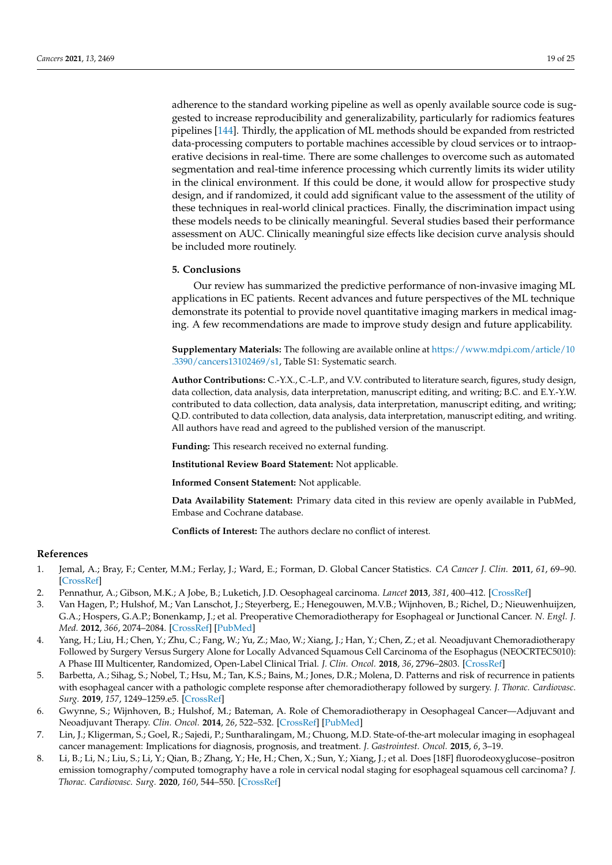adherence to the standard working pipeline as well as openly available source code is suggested to increase reproducibility and generalizability, particularly for radiomics features pipelines [\[144\]](#page-24-13). Thirdly, the application of ML methods should be expanded from restricted data-processing computers to portable machines accessible by cloud services or to intraoperative decisions in real-time. There are some challenges to overcome such as automated segmentation and real-time inference processing which currently limits its wider utility in the clinical environment. If this could be done, it would allow for prospective study design, and if randomized, it could add significant value to the assessment of the utility of these techniques in real-world clinical practices. Finally, the discrimination impact using these models needs to be clinically meaningful. Several studies based their performance assessment on AUC. Clinically meaningful size effects like decision curve analysis should be included more routinely.

## **5. Conclusions**

Our review has summarized the predictive performance of non-invasive imaging ML applications in EC patients. Recent advances and future perspectives of the ML technique demonstrate its potential to provide novel quantitative imaging markers in medical imaging. A few recommendations are made to improve study design and future applicability.

**Supplementary Materials:** The following are available online at [https://www.mdpi.com/article/10](https://www.mdpi.com/article/10.3390/cancers13102469/s1) [.3390/cancers13102469/s1,](https://www.mdpi.com/article/10.3390/cancers13102469/s1) Table S1: Systematic search.

**Author Contributions:** C.-Y.X., C.-L.P., and V.V. contributed to literature search, figures, study design, data collection, data analysis, data interpretation, manuscript editing, and writing; B.C. and E.Y.-Y.W. contributed to data collection, data analysis, data interpretation, manuscript editing, and writing; Q.D. contributed to data collection, data analysis, data interpretation, manuscript editing, and writing. All authors have read and agreed to the published version of the manuscript.

**Funding:** This research received no external funding.

**Institutional Review Board Statement:** Not applicable.

**Informed Consent Statement:** Not applicable.

**Data Availability Statement:** Primary data cited in this review are openly available in PubMed, Embase and Cochrane database.

**Conflicts of Interest:** The authors declare no conflict of interest.

## **References**

- <span id="page-18-0"></span>1. Jemal, A.; Bray, F.; Center, M.M.; Ferlay, J.; Ward, E.; Forman, D. Global Cancer Statistics. *CA Cancer J. Clin.* **2011**, *61*, 69–90. [\[CrossRef\]](http://doi.org/10.3322/caac.20107)
- <span id="page-18-1"></span>2. Pennathur, A.; Gibson, M.K.; A Jobe, B.; Luketich, J.D. Oesophageal carcinoma. *Lancet* **2013**, *381*, 400–412. [\[CrossRef\]](http://doi.org/10.1016/S0140-6736(12)60643-6)
- <span id="page-18-2"></span>3. Van Hagen, P.; Hulshof, M.; Van Lanschot, J.; Steyerberg, E.; Henegouwen, M.V.B.; Wijnhoven, B.; Richel, D.; Nieuwenhuijzen, G.A.; Hospers, G.A.P.; Bonenkamp, J.; et al. Preoperative Chemoradiotherapy for Esophageal or Junctional Cancer. *N. Engl. J. Med.* **2012**, *366*, 2074–2084. [\[CrossRef\]](http://doi.org/10.1056/NEJMoa1112088) [\[PubMed\]](http://www.ncbi.nlm.nih.gov/pubmed/22646630)
- <span id="page-18-3"></span>4. Yang, H.; Liu, H.; Chen, Y.; Zhu, C.; Fang, W.; Yu, Z.; Mao, W.; Xiang, J.; Han, Y.; Chen, Z.; et al. Neoadjuvant Chemoradiotherapy Followed by Surgery Versus Surgery Alone for Locally Advanced Squamous Cell Carcinoma of the Esophagus (NEOCRTEC5010): A Phase III Multicenter, Randomized, Open-Label Clinical Trial. *J. Clin. Oncol.* **2018**, *36*, 2796–2803. [\[CrossRef\]](http://doi.org/10.1200/JCO.2018.79.1483)
- <span id="page-18-4"></span>5. Barbetta, A.; Sihag, S.; Nobel, T.; Hsu, M.; Tan, K.S.; Bains, M.; Jones, D.R.; Molena, D. Patterns and risk of recurrence in patients with esophageal cancer with a pathologic complete response after chemoradiotherapy followed by surgery. *J. Thorac. Cardiovasc. Surg.* **2019**, *157*, 1249–1259.e5. [\[CrossRef\]](http://doi.org/10.1016/j.jtcvs.2018.09.136)
- <span id="page-18-5"></span>6. Gwynne, S.; Wijnhoven, B.; Hulshof, M.; Bateman, A. Role of Chemoradiotherapy in Oesophageal Cancer—Adjuvant and Neoadjuvant Therapy. *Clin. Oncol.* **2014**, *26*, 522–532. [\[CrossRef\]](http://doi.org/10.1016/j.clon.2014.05.015) [\[PubMed\]](http://www.ncbi.nlm.nih.gov/pubmed/24947234)
- <span id="page-18-6"></span>7. Lin, J.; Kligerman, S.; Goel, R.; Sajedi, P.; Suntharalingam, M.; Chuong, M.D. State-of-the-art molecular imaging in esophageal cancer management: Implications for diagnosis, prognosis, and treatment. *J. Gastrointest. Oncol.* **2015**, *6*, 3–19.
- <span id="page-18-7"></span>8. Li, B.; Li, N.; Liu, S.; Li, Y.; Qian, B.; Zhang, Y.; He, H.; Chen, X.; Sun, Y.; Xiang, J.; et al. Does [18F] fluorodeoxyglucose–positron emission tomography/computed tomography have a role in cervical nodal staging for esophageal squamous cell carcinoma? *J. Thorac. Cardiovasc. Surg.* **2020**, *160*, 544–550. [\[CrossRef\]](http://doi.org/10.1016/j.jtcvs.2019.11.046)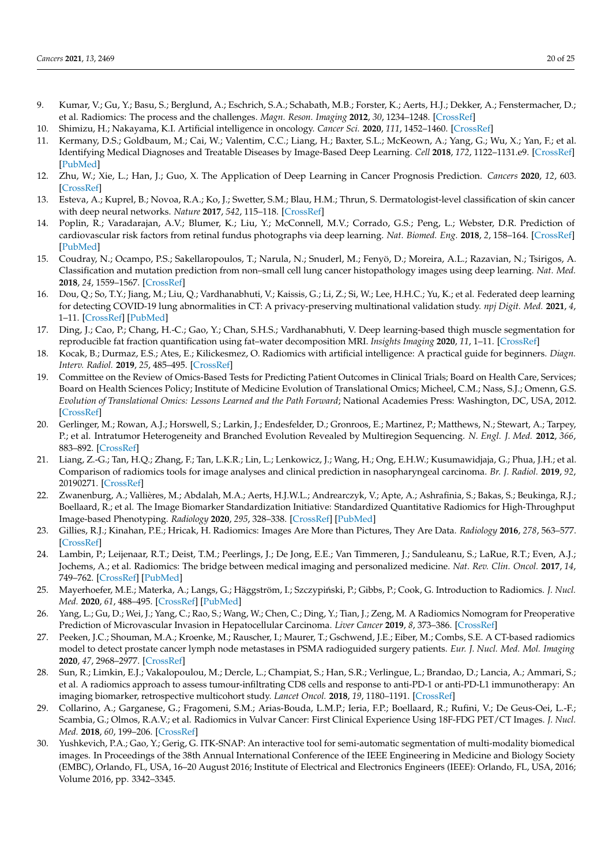- <span id="page-19-0"></span>9. Kumar, V.; Gu, Y.; Basu, S.; Berglund, A.; Eschrich, S.A.; Schabath, M.B.; Forster, K.; Aerts, H.J.; Dekker, A.; Fenstermacher, D.; et al. Radiomics: The process and the challenges. *Magn. Reson. Imaging* **2012**, *30*, 1234–1248. [\[CrossRef\]](http://doi.org/10.1016/j.mri.2012.06.010)
- <span id="page-19-1"></span>10. Shimizu, H.; Nakayama, K.I. Artificial intelligence in oncology. *Cancer Sci.* **2020**, *111*, 1452–1460. [\[CrossRef\]](http://doi.org/10.1111/cas.14377)
- 11. Kermany, D.S.; Goldbaum, M.; Cai, W.; Valentim, C.C.; Liang, H.; Baxter, S.L.; McKeown, A.; Yang, G.; Wu, X.; Yan, F.; et al. Identifying Medical Diagnoses and Treatable Diseases by Image-Based Deep Learning. *Cell* **2018**, *172*, 1122–1131.e9. [\[CrossRef\]](http://doi.org/10.1016/j.cell.2018.02.010) [\[PubMed\]](http://www.ncbi.nlm.nih.gov/pubmed/29474911)
- <span id="page-19-2"></span>12. Zhu, W.; Xie, L.; Han, J.; Guo, X. The Application of Deep Learning in Cancer Prognosis Prediction. *Cancers* **2020**, *12*, 603. [\[CrossRef\]](http://doi.org/10.3390/cancers12030603)
- <span id="page-19-3"></span>13. Esteva, A.; Kuprel, B.; Novoa, R.A.; Ko, J.; Swetter, S.M.; Blau, H.M.; Thrun, S. Dermatologist-level classification of skin cancer with deep neural networks. *Nature* **2017**, *542*, 115–118. [\[CrossRef\]](http://doi.org/10.1038/nature21056)
- <span id="page-19-4"></span>14. Poplin, R.; Varadarajan, A.V.; Blumer, K.; Liu, Y.; McConnell, M.V.; Corrado, G.S.; Peng, L.; Webster, D.R. Prediction of cardiovascular risk factors from retinal fundus photographs via deep learning. *Nat. Biomed. Eng.* **2018**, *2*, 158–164. [\[CrossRef\]](http://doi.org/10.1038/s41551-018-0195-0) [\[PubMed\]](http://www.ncbi.nlm.nih.gov/pubmed/31015713)
- <span id="page-19-5"></span>15. Coudray, N.; Ocampo, P.S.; Sakellaropoulos, T.; Narula, N.; Snuderl, M.; Fenyö, D.; Moreira, A.L.; Razavian, N.; Tsirigos, A. Classification and mutation prediction from non–small cell lung cancer histopathology images using deep learning. *Nat. Med.* **2018**, *24*, 1559–1567. [\[CrossRef\]](http://doi.org/10.1038/s41591-018-0177-5)
- <span id="page-19-6"></span>16. Dou, Q.; So, T.Y.; Jiang, M.; Liu, Q.; Vardhanabhuti, V.; Kaissis, G.; Li, Z.; Si, W.; Lee, H.H.C.; Yu, K.; et al. Federated deep learning for detecting COVID-19 lung abnormalities in CT: A privacy-preserving multinational validation study. *npj Digit. Med.* **2021**, *4*, 1–11. [\[CrossRef\]](http://doi.org/10.1038/s41746-021-00431-6) [\[PubMed\]](http://www.ncbi.nlm.nih.gov/pubmed/33782526)
- <span id="page-19-7"></span>17. Ding, J.; Cao, P.; Chang, H.-C.; Gao, Y.; Chan, S.H.S.; Vardhanabhuti, V. Deep learning-based thigh muscle segmentation for reproducible fat fraction quantification using fat–water decomposition MRI. *Insights Imaging* **2020**, *11*, 1–11. [\[CrossRef\]](http://doi.org/10.1186/s13244-020-00946-8)
- <span id="page-19-8"></span>18. Kocak, B.; Durmaz, E.S.; Ates, E.; Kilickesmez, O. Radiomics with artificial intelligence: A practical guide for beginners. *Diagn. Interv. Radiol.* **2019**, *25*, 485–495. [\[CrossRef\]](http://doi.org/10.5152/dir.2019.19321)
- <span id="page-19-9"></span>19. Committee on the Review of Omics-Based Tests for Predicting Patient Outcomes in Clinical Trials; Board on Health Care, Services; Board on Health Sciences Policy; Institute of Medicine Evolution of Translational Omics; Micheel, C.M.; Nass, S.J.; Omenn, G.S. *Evolution of Translational Omics: Lessons Learned and the Path Forward*; National Academies Press: Washington, DC, USA, 2012. [\[CrossRef\]](http://doi.org/10.17226/13297)
- <span id="page-19-10"></span>20. Gerlinger, M.; Rowan, A.J.; Horswell, S.; Larkin, J.; Endesfelder, D.; Gronroos, E.; Martinez, P.; Matthews, N.; Stewart, A.; Tarpey, P.; et al. Intratumor Heterogeneity and Branched Evolution Revealed by Multiregion Sequencing. *N. Engl. J. Med.* **2012**, *366*, 883–892. [\[CrossRef\]](http://doi.org/10.1056/NEJMoa1113205)
- <span id="page-19-11"></span>21. Liang, Z.-G.; Tan, H.Q.; Zhang, F.; Tan, L.K.R.; Lin, L.; Lenkowicz, J.; Wang, H.; Ong, E.H.W.; Kusumawidjaja, G.; Phua, J.H.; et al. Comparison of radiomics tools for image analyses and clinical prediction in nasopharyngeal carcinoma. *Br. J. Radiol.* **2019**, *92*, 20190271. [\[CrossRef\]](http://doi.org/10.1259/bjr.20190271)
- <span id="page-19-12"></span>22. Zwanenburg, A.; Vallières, M.; Abdalah, M.A.; Aerts, H.J.W.L.; Andrearczyk, V.; Apte, A.; Ashrafinia, S.; Bakas, S.; Beukinga, R.J.; Boellaard, R.; et al. The Image Biomarker Standardization Initiative: Standardized Quantitative Radiomics for High-Throughput Image-based Phenotyping. *Radiology* **2020**, *295*, 328–338. [\[CrossRef\]](http://doi.org/10.1148/radiol.2020191145) [\[PubMed\]](http://www.ncbi.nlm.nih.gov/pubmed/32154773)
- <span id="page-19-13"></span>23. Gillies, R.J.; Kinahan, P.E.; Hricak, H. Radiomics: Images Are More than Pictures, They Are Data. *Radiology* **2016**, *278*, 563–577. [\[CrossRef\]](http://doi.org/10.1148/radiol.2015151169)
- <span id="page-19-14"></span>24. Lambin, P.; Leijenaar, R.T.; Deist, T.M.; Peerlings, J.; De Jong, E.E.; Van Timmeren, J.; Sanduleanu, S.; LaRue, R.T.; Even, A.J.; Jochems, A.; et al. Radiomics: The bridge between medical imaging and personalized medicine. *Nat. Rev. Clin. Oncol.* **2017**, *14*, 749–762. [\[CrossRef\]](http://doi.org/10.1038/nrclinonc.2017.141) [\[PubMed\]](http://www.ncbi.nlm.nih.gov/pubmed/28975929)
- <span id="page-19-15"></span>25. Mayerhoefer, M.E.; Materka, A.; Langs, G.; Häggström, I.; Szczypiński, P.; Gibbs, P.; Cook, G. Introduction to Radiomics. *J. Nucl. Med.* **2020**, *61*, 488–495. [\[CrossRef\]](http://doi.org/10.2967/jnumed.118.222893) [\[PubMed\]](http://www.ncbi.nlm.nih.gov/pubmed/32060219)
- 26. Yang, L.; Gu, D.; Wei, J.; Yang, C.; Rao, S.; Wang, W.; Chen, C.; Ding, Y.; Tian, J.; Zeng, M. A Radiomics Nomogram for Preoperative Prediction of Microvascular Invasion in Hepatocellular Carcinoma. *Liver Cancer* **2019**, *8*, 373–386. [\[CrossRef\]](http://doi.org/10.1159/000494099)
- <span id="page-19-16"></span>27. Peeken, J.C.; Shouman, M.A.; Kroenke, M.; Rauscher, I.; Maurer, T.; Gschwend, J.E.; Eiber, M.; Combs, S.E. A CT-based radiomics model to detect prostate cancer lymph node metastases in PSMA radioguided surgery patients. *Eur. J. Nucl. Med. Mol. Imaging* **2020**, *47*, 2968–2977. [\[CrossRef\]](http://doi.org/10.1007/s00259-020-04864-1)
- <span id="page-19-17"></span>28. Sun, R.; Limkin, E.J.; Vakalopoulou, M.; Dercle, L.; Champiat, S.; Han, S.R.; Verlingue, L.; Brandao, D.; Lancia, A.; Ammari, S.; et al. A radiomics approach to assess tumour-infiltrating CD8 cells and response to anti-PD-1 or anti-PD-L1 immunotherapy: An imaging biomarker, retrospective multicohort study. *Lancet Oncol.* **2018**, *19*, 1180–1191. [\[CrossRef\]](http://doi.org/10.1016/S1470-2045(18)30413-3)
- <span id="page-19-18"></span>29. Collarino, A.; Garganese, G.; Fragomeni, S.M.; Arias-Bouda, L.M.P.; Ieria, F.P.; Boellaard, R.; Rufini, V.; De Geus-Oei, L.-F.; Scambia, G.; Olmos, R.A.V.; et al. Radiomics in Vulvar Cancer: First Clinical Experience Using 18F-FDG PET/CT Images. *J. Nucl. Med.* **2018**, *60*, 199–206. [\[CrossRef\]](http://doi.org/10.2967/jnumed.118.215889)
- <span id="page-19-19"></span>30. Yushkevich, P.A.; Gao, Y.; Gerig, G. ITK-SNAP: An interactive tool for semi-automatic segmentation of multi-modality biomedical images. In Proceedings of the 38th Annual International Conference of the IEEE Engineering in Medicine and Biology Society (EMBC), Orlando, FL, USA, 16–20 August 2016; Institute of Electrical and Electronics Engineers (IEEE): Orlando, FL, USA, 2016; Volume 2016, pp. 3342–3345.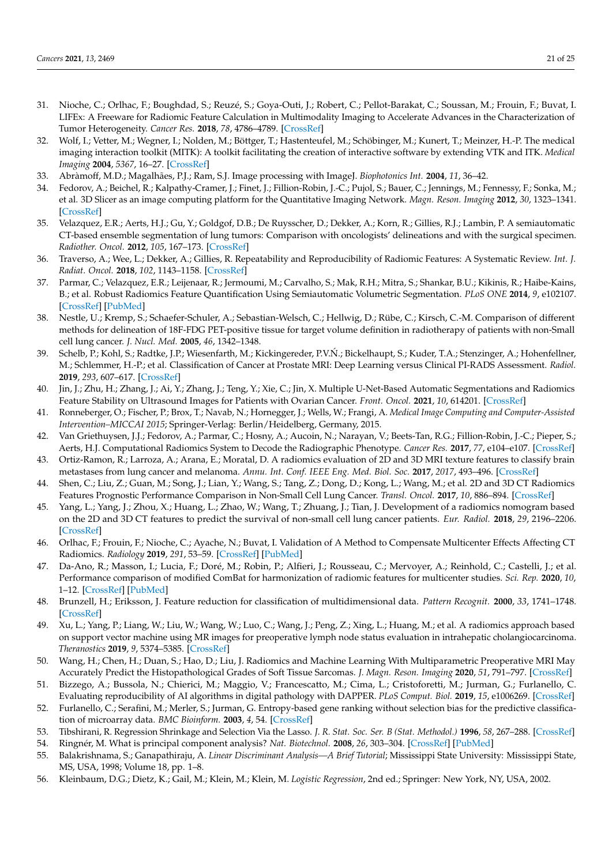- <span id="page-20-0"></span>31. Nioche, C.; Orlhac, F.; Boughdad, S.; Reuzé, S.; Goya-Outi, J.; Robert, C.; Pellot-Barakat, C.; Soussan, M.; Frouin, F.; Buvat, I. LIFEx: A Freeware for Radiomic Feature Calculation in Multimodality Imaging to Accelerate Advances in the Characterization of Tumor Heterogeneity. *Cancer Res.* **2018**, *78*, 4786–4789. [\[CrossRef\]](http://doi.org/10.1158/0008-5472.CAN-18-0125)
- <span id="page-20-1"></span>32. Wolf, I.; Vetter, M.; Wegner, I.; Nolden, M.; Böttger, T.; Hastenteufel, M.; Schöbinger, M.; Kunert, T.; Meinzer, H.-P. The medical imaging interaction toolkit (MITK): A toolkit facilitating the creation of interactive software by extending VTK and ITK. *Medical Imaging* **2004**, *5367*, 16–27. [\[CrossRef\]](http://doi.org/10.1117/12.535112)
- <span id="page-20-2"></span>33. Abràmoff, M.D.; Magalhães, P.J.; Ram, S.J. Image processing with ImageJ. *Biophotonics Int.* **2004**, *11*, 36–42.
- <span id="page-20-3"></span>34. Fedorov, A.; Beichel, R.; Kalpathy-Cramer, J.; Finet, J.; Fillion-Robin, J.-C.; Pujol, S.; Bauer, C.; Jennings, M.; Fennessy, F.; Sonka, M.; et al. 3D Slicer as an image computing platform for the Quantitative Imaging Network. *Magn. Reson. Imaging* **2012**, *30*, 1323–1341. [\[CrossRef\]](http://doi.org/10.1016/j.mri.2012.05.001)
- <span id="page-20-4"></span>35. Velazquez, E.R.; Aerts, H.J.; Gu, Y.; Goldgof, D.B.; De Ruysscher, D.; Dekker, A.; Korn, R.; Gillies, R.J.; Lambin, P. A semiautomatic CT-based ensemble segmentation of lung tumors: Comparison with oncologists' delineations and with the surgical specimen. *Radiother. Oncol.* **2012**, *105*, 167–173. [\[CrossRef\]](http://doi.org/10.1016/j.radonc.2012.09.023)
- <span id="page-20-5"></span>36. Traverso, A.; Wee, L.; Dekker, A.; Gillies, R. Repeatability and Reproducibility of Radiomic Features: A Systematic Review. *Int. J. Radiat. Oncol.* **2018**, *102*, 1143–1158. [\[CrossRef\]](http://doi.org/10.1016/j.ijrobp.2018.05.053)
- <span id="page-20-6"></span>37. Parmar, C.; Velazquez, E.R.; Leijenaar, R.; Jermoumi, M.; Carvalho, S.; Mak, R.H.; Mitra, S.; Shankar, B.U.; Kikinis, R.; Haibe-Kains, B.; et al. Robust Radiomics Feature Quantification Using Semiautomatic Volumetric Segmentation. *PLoS ONE* **2014**, *9*, e102107. [\[CrossRef\]](http://doi.org/10.1371/journal.pone.0102107) [\[PubMed\]](http://www.ncbi.nlm.nih.gov/pubmed/25025374)
- <span id="page-20-7"></span>38. Nestle, U.; Kremp, S.; Schaefer-Schuler, A.; Sebastian-Welsch, C.; Hellwig, D.; Rübe, C.; Kirsch, C.-M. Comparison of different methods for delineation of 18F-FDG PET-positive tissue for target volume definition in radiotherapy of patients with non-Small cell lung cancer. *J. Nucl. Med.* **2005**, *46*, 1342–1348.
- <span id="page-20-8"></span>39. Schelb, P.; Kohl, S.; Radtke, J.P.; Wiesenfarth, M.; Kickingereder, P.V.N.; Bickelhaupt, S.; Kuder, T.A.; Stenzinger, A.; Hohenfellner, ´ M.; Schlemmer, H.-P.; et al. Classification of Cancer at Prostate MRI: Deep Learning versus Clinical PI-RADS Assessment. *Radiol.* **2019**, *293*, 607–617. [\[CrossRef\]](http://doi.org/10.1148/radiol.2019190938)
- <span id="page-20-9"></span>40. Jin, J.; Zhu, H.; Zhang, J.; Ai, Y.; Zhang, J.; Teng, Y.; Xie, C.; Jin, X. Multiple U-Net-Based Automatic Segmentations and Radiomics Feature Stability on Ultrasound Images for Patients with Ovarian Cancer. *Front. Oncol.* **2021**, *10*, 614201. [\[CrossRef\]](http://doi.org/10.3389/fonc.2020.614201)
- <span id="page-20-10"></span>41. Ronneberger, O.; Fischer, P.; Brox, T.; Navab, N.; Hornegger, J.; Wells, W.; Frangi, A. *Medical Image Computing and Computer-Assisted Intervention–MICCAI 2015*; Springer-Verlag: Berlin/Heidelberg, Germany, 2015.
- <span id="page-20-11"></span>42. Van Griethuysen, J.J.; Fedorov, A.; Parmar, C.; Hosny, A.; Aucoin, N.; Narayan, V.; Beets-Tan, R.G.; Fillion-Robin, J.-C.; Pieper, S.; Aerts, H.J. Computational Radiomics System to Decode the Radiographic Phenotype. *Cancer Res.* **2017**, *77*, e104–e107. [\[CrossRef\]](http://doi.org/10.1158/0008-5472.CAN-17-0339)
- <span id="page-20-12"></span>43. Ortiz-Ramon, R.; Larroza, A.; Arana, E.; Moratal, D. A radiomics evaluation of 2D and 3D MRI texture features to classify brain metastases from lung cancer and melanoma. *Annu. Int. Conf. IEEE Eng. Med. Biol. Soc.* **2017**, *2017*, 493–496. [\[CrossRef\]](http://doi.org/10.1109/EMBC.2017.8036869)
- <span id="page-20-13"></span>44. Shen, C.; Liu, Z.; Guan, M.; Song, J.; Lian, Y.; Wang, S.; Tang, Z.; Dong, D.; Kong, L.; Wang, M.; et al. 2D and 3D CT Radiomics Features Prognostic Performance Comparison in Non-Small Cell Lung Cancer. *Transl. Oncol.* **2017**, *10*, 886–894. [\[CrossRef\]](http://doi.org/10.1016/j.tranon.2017.08.007)
- <span id="page-20-14"></span>45. Yang, L.; Yang, J.; Zhou, X.; Huang, L.; Zhao, W.; Wang, T.; Zhuang, J.; Tian, J. Development of a radiomics nomogram based on the 2D and 3D CT features to predict the survival of non-small cell lung cancer patients. *Eur. Radiol.* **2018**, *29*, 2196–2206. [\[CrossRef\]](http://doi.org/10.1007/s00330-018-5770-y)
- <span id="page-20-15"></span>46. Orlhac, F.; Frouin, F.; Nioche, C.; Ayache, N.; Buvat, I. Validation of A Method to Compensate Multicenter Effects Affecting CT Radiomics. *Radiology* **2019**, *291*, 53–59. [\[CrossRef\]](http://doi.org/10.1148/radiol.2019182023) [\[PubMed\]](http://www.ncbi.nlm.nih.gov/pubmed/30694160)
- <span id="page-20-16"></span>47. Da-Ano, R.; Masson, I.; Lucia, F.; Doré, M.; Robin, P.; Alfieri, J.; Rousseau, C.; Mervoyer, A.; Reinhold, C.; Castelli, J.; et al. Performance comparison of modified ComBat for harmonization of radiomic features for multicenter studies. *Sci. Rep.* **2020**, *10*, 1–12. [\[CrossRef\]](http://doi.org/10.1038/s41598-020-66110-w) [\[PubMed\]](http://www.ncbi.nlm.nih.gov/pubmed/32581221)
- <span id="page-20-17"></span>48. Brunzell, H.; Eriksson, J. Feature reduction for classification of multidimensional data. *Pattern Recognit.* **2000**, *33*, 1741–1748. [\[CrossRef\]](http://doi.org/10.1016/S0031-3203(99)00142-9)
- <span id="page-20-18"></span>49. Xu, L.; Yang, P.; Liang, W.; Liu, W.; Wang, W.; Luo, C.; Wang, J.; Peng, Z.; Xing, L.; Huang, M.; et al. A radiomics approach based on support vector machine using MR images for preoperative lymph node status evaluation in intrahepatic cholangiocarcinoma. *Theranostics* **2019**, *9*, 5374–5385. [\[CrossRef\]](http://doi.org/10.7150/thno.34149)
- <span id="page-20-19"></span>50. Wang, H.; Chen, H.; Duan, S.; Hao, D.; Liu, J. Radiomics and Machine Learning With Multiparametric Preoperative MRI May Accurately Predict the Histopathological Grades of Soft Tissue Sarcomas. *J. Magn. Reson. Imaging* **2020**, *51*, 791–797. [\[CrossRef\]](http://doi.org/10.1002/jmri.26901)
- <span id="page-20-20"></span>51. Bizzego, A.; Bussola, N.; Chierici, M.; Maggio, V.; Francescatto, M.; Cima, L.; Cristoforetti, M.; Jurman, G.; Furlanello, C. Evaluating reproducibility of AI algorithms in digital pathology with DAPPER. *PLoS Comput. Biol.* **2019**, *15*, e1006269. [\[CrossRef\]](http://doi.org/10.1371/journal.pcbi.1006269)
- <span id="page-20-21"></span>52. Furlanello, C.; Serafini, M.; Merler, S.; Jurman, G. Entropy-based gene ranking without selection bias for the predictive classification of microarray data. *BMC Bioinform.* **2003**, *4*, 54. [\[CrossRef\]](http://doi.org/10.1186/1471-2105-4-54)
- <span id="page-20-22"></span>53. Tibshirani, R. Regression Shrinkage and Selection Via the Lasso. *J. R. Stat. Soc. Ser. B (Stat. Methodol.)* **1996**, *58*, 267–288. [\[CrossRef\]](http://doi.org/10.1111/j.2517-6161.1996.tb02080.x)
- <span id="page-20-23"></span>54. Ringnér, M. What is principal component analysis? *Nat. Biotechnol.* **2008**, *26*, 303–304. [\[CrossRef\]](http://doi.org/10.1038/nbt0308-303) [\[PubMed\]](http://www.ncbi.nlm.nih.gov/pubmed/18327243)
- <span id="page-20-24"></span>55. Balakrishnama, S.; Ganapathiraju, A. *Linear Discriminant Analysis—A Brief Tutorial*; Mississippi State University: Mississippi State, MS, USA, 1998; Volume 18, pp. 1–8.
- <span id="page-20-25"></span>56. Kleinbaum, D.G.; Dietz, K.; Gail, M.; Klein, M.; Klein, M. *Logistic Regression*, 2nd ed.; Springer: New York, NY, USA, 2002.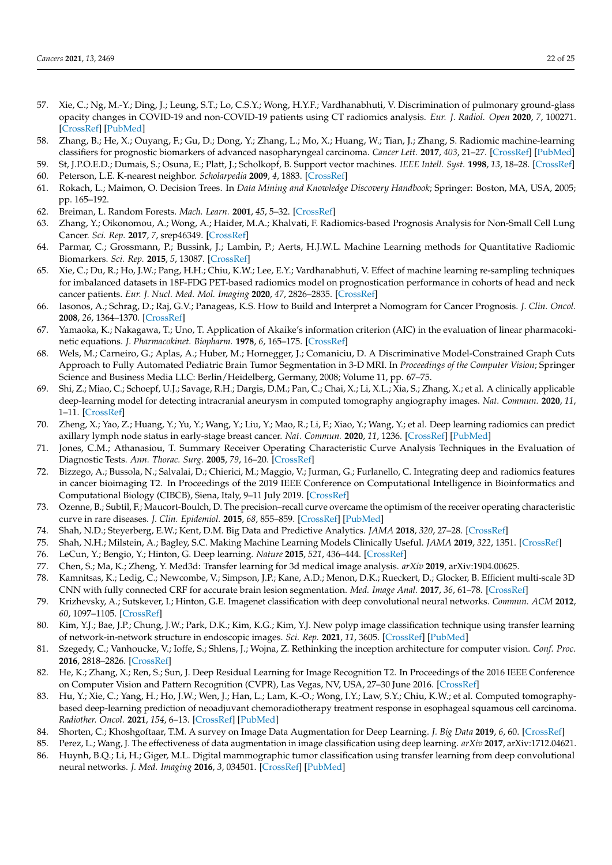- <span id="page-21-0"></span>57. Xie, C.; Ng, M.-Y.; Ding, J.; Leung, S.T.; Lo, C.S.Y.; Wong, H.Y.F.; Vardhanabhuti, V. Discrimination of pulmonary ground-glass opacity changes in COVID-19 and non-COVID-19 patients using CT radiomics analysis. *Eur. J. Radiol. Open* **2020**, *7*, 100271. [\[CrossRef\]](http://doi.org/10.1016/j.ejro.2020.100271) [\[PubMed\]](http://www.ncbi.nlm.nih.gov/pubmed/32959017)
- <span id="page-21-1"></span>58. Zhang, B.; He, X.; Ouyang, F.; Gu, D.; Dong, Y.; Zhang, L.; Mo, X.; Huang, W.; Tian, J.; Zhang, S. Radiomic machine-learning classifiers for prognostic biomarkers of advanced nasopharyngeal carcinoma. *Cancer Lett.* **2017**, *403*, 21–27. [\[CrossRef\]](http://doi.org/10.1016/j.canlet.2017.06.004) [\[PubMed\]](http://www.ncbi.nlm.nih.gov/pubmed/28610955)
- <span id="page-21-2"></span>59. St, J.P.O.E.D.; Dumais, S.; Osuna, E.; Platt, J.; Scholkopf, B. Support vector machines. *IEEE Intell. Syst.* **1998**, *13*, 18–28. [\[CrossRef\]](http://doi.org/10.1109/5254.708428)
- <span id="page-21-3"></span>60. Peterson, L.E. K-nearest neighbor. *Scholarpedia* **2009**, *4*, 1883. [\[CrossRef\]](http://doi.org/10.4249/scholarpedia.1883)
- <span id="page-21-4"></span>61. Rokach, L.; Maimon, O. Decision Trees. In *Data Mining and Knowledge Discovery Handbook*; Springer: Boston, MA, USA, 2005; pp. 165–192.
- <span id="page-21-5"></span>62. Breiman, L. Random Forests. *Mach. Learn.* **2001**, *45*, 5–32. [\[CrossRef\]](http://doi.org/10.1023/A:1010933404324)
- <span id="page-21-6"></span>63. Zhang, Y.; Oikonomou, A.; Wong, A.; Haider, M.A.; Khalvati, F. Radiomics-based Prognosis Analysis for Non-Small Cell Lung Cancer. *Sci. Rep.* **2017**, *7*, srep46349. [\[CrossRef\]](http://doi.org/10.1038/srep46349)
- <span id="page-21-7"></span>64. Parmar, C.; Grossmann, P.; Bussink, J.; Lambin, P.; Aerts, H.J.W.L. Machine Learning methods for Quantitative Radiomic Biomarkers. *Sci. Rep.* **2015**, *5*, 13087. [\[CrossRef\]](http://doi.org/10.1038/srep13087)
- <span id="page-21-8"></span>65. Xie, C.; Du, R.; Ho, J.W.; Pang, H.H.; Chiu, K.W.; Lee, E.Y.; Vardhanabhuti, V. Effect of machine learning re-sampling techniques for imbalanced datasets in 18F-FDG PET-based radiomics model on prognostication performance in cohorts of head and neck cancer patients. *Eur. J. Nucl. Med. Mol. Imaging* **2020**, *47*, 2826–2835. [\[CrossRef\]](http://doi.org/10.1007/s00259-020-04756-4)
- <span id="page-21-9"></span>66. Iasonos, A.; Schrag, D.; Raj, G.V.; Panageas, K.S. How to Build and Interpret a Nomogram for Cancer Prognosis. *J. Clin. Oncol.* **2008**, *26*, 1364–1370. [\[CrossRef\]](http://doi.org/10.1200/JCO.2007.12.9791)
- <span id="page-21-10"></span>67. Yamaoka, K.; Nakagawa, T.; Uno, T. Application of Akaike's information criterion (AIC) in the evaluation of linear pharmacokinetic equations. *J. Pharmacokinet. Biopharm.* **1978**, *6*, 165–175. [\[CrossRef\]](http://doi.org/10.1007/BF01117450)
- <span id="page-21-11"></span>68. Wels, M.; Carneiro, G.; Aplas, A.; Huber, M.; Hornegger, J.; Comaniciu, D. A Discriminative Model-Constrained Graph Cuts Approach to Fully Automated Pediatric Brain Tumor Segmentation in 3-D MRI. In *Proceedings of the Computer Vision*; Springer Science and Business Media LLC: Berlin/Heidelberg, Germany, 2008; Volume 11, pp. 67–75.
- <span id="page-21-12"></span>69. Shi, Z.; Miao, C.; Schoepf, U.J.; Savage, R.H.; Dargis, D.M.; Pan, C.; Chai, X.; Li, X.L.; Xia, S.; Zhang, X.; et al. A clinically applicable deep-learning model for detecting intracranial aneurysm in computed tomography angiography images. *Nat. Commun.* **2020**, *11*, 1–11. [\[CrossRef\]](http://doi.org/10.1038/s41467-020-19527-w)
- <span id="page-21-13"></span>70. Zheng, X.; Yao, Z.; Huang, Y.; Yu, Y.; Wang, Y.; Liu, Y.; Mao, R.; Li, F.; Xiao, Y.; Wang, Y.; et al. Deep learning radiomics can predict axillary lymph node status in early-stage breast cancer. *Nat. Commun.* **2020**, *11*, 1236. [\[CrossRef\]](http://doi.org/10.1038/s41467-020-15027-z) [\[PubMed\]](http://www.ncbi.nlm.nih.gov/pubmed/32144248)
- <span id="page-21-30"></span><span id="page-21-14"></span>71. Jones, C.M.; Athanasiou, T. Summary Receiver Operating Characteristic Curve Analysis Techniques in the Evaluation of Diagnostic Tests. *Ann. Thorac. Surg.* **2005**, *79*, 16–20. [\[CrossRef\]](http://doi.org/10.1016/j.athoracsur.2004.09.040)
- <span id="page-21-15"></span>72. Bizzego, A.; Bussola, N.; Salvalai, D.; Chierici, M.; Maggio, V.; Jurman, G.; Furlanello, C. Integrating deep and radiomics features in cancer bioimaging T2. In Proceedings of the 2019 IEEE Conference on Computational Intelligence in Bioinformatics and Computational Biology (CIBCB), Siena, Italy, 9–11 July 2019. [\[CrossRef\]](http://doi.org/10.1109/cibcb.2019.8791473)
- <span id="page-21-16"></span>73. Ozenne, B.; Subtil, F.; Maucort-Boulch, D. The precision–recall curve overcame the optimism of the receiver operating characteristic curve in rare diseases. *J. Clin. Epidemiol.* **2015**, *68*, 855–859. [\[CrossRef\]](http://doi.org/10.1016/j.jclinepi.2015.02.010) [\[PubMed\]](http://www.ncbi.nlm.nih.gov/pubmed/25881487)
- <span id="page-21-17"></span>74. Shah, N.D.; Steyerberg, E.W.; Kent, D.M. Big Data and Predictive Analytics. *JAMA* **2018**, *320*, 27–28. [\[CrossRef\]](http://doi.org/10.1001/jama.2018.5602)
- <span id="page-21-18"></span>75. Shah, N.H.; Milstein, A.; Bagley, S.C. Making Machine Learning Models Clinically Useful. *JAMA* **2019**, *322*, 1351. [\[CrossRef\]](http://doi.org/10.1001/jama.2019.10306)
- <span id="page-21-19"></span>76. LeCun, Y.; Bengio, Y.; Hinton, G. Deep learning. *Nature* **2015**, *521*, 436–444. [\[CrossRef\]](http://doi.org/10.1038/nature14539)
- <span id="page-21-20"></span>77. Chen, S.; Ma, K.; Zheng, Y. Med3d: Transfer learning for 3d medical image analysis. *arXiv* **2019**, arXiv:1904.00625.
- <span id="page-21-21"></span>78. Kamnitsas, K.; Ledig, C.; Newcombe, V.; Simpson, J.P.; Kane, A.D.; Menon, D.K.; Rueckert, D.; Glocker, B. Efficient multi-scale 3D CNN with fully connected CRF for accurate brain lesion segmentation. *Med. Image Anal.* **2017**, *36*, 61–78. [\[CrossRef\]](http://doi.org/10.1016/j.media.2016.10.004)
- <span id="page-21-22"></span>79. Krizhevsky, A.; Sutskever, I.; Hinton, G.E. Imagenet classification with deep convolutional neural networks. *Commun. ACM* **2012**, *60*, 1097–1105. [\[CrossRef\]](http://doi.org/10.1145/3065386)
- <span id="page-21-23"></span>80. Kim, Y.J.; Bae, J.P.; Chung, J.W.; Park, D.K.; Kim, K.G.; Kim, Y.J. New polyp image classification technique using transfer learning of network-in-network structure in endoscopic images. *Sci. Rep.* **2021**, *11*, 3605. [\[CrossRef\]](http://doi.org/10.1038/s41598-021-83199-9) [\[PubMed\]](http://www.ncbi.nlm.nih.gov/pubmed/33574394)
- <span id="page-21-24"></span>81. Szegedy, C.; Vanhoucke, V.; Ioffe, S.; Shlens, J.; Wojna, Z. Rethinking the inception architecture for computer vision. *Conf. Proc.* **2016**, 2818–2826. [\[CrossRef\]](http://doi.org/10.1109/CVPR.2016.308)
- <span id="page-21-25"></span>82. He, K.; Zhang, X.; Ren, S.; Sun, J. Deep Residual Learning for Image Recognition T2. In Proceedings of the 2016 IEEE Conference on Computer Vision and Pattern Recognition (CVPR), Las Vegas, NV, USA, 27–30 June 2016. [\[CrossRef\]](http://doi.org/10.1109/cvpr.2016.90)
- <span id="page-21-26"></span>83. Hu, Y.; Xie, C.; Yang, H.; Ho, J.W.; Wen, J.; Han, L.; Lam, K.-O.; Wong, I.Y.; Law, S.Y.; Chiu, K.W.; et al. Computed tomographybased deep-learning prediction of neoadjuvant chemoradiotherapy treatment response in esophageal squamous cell carcinoma. *Radiother. Oncol.* **2021**, *154*, 6–13. [\[CrossRef\]](http://doi.org/10.1016/j.radonc.2020.09.014) [\[PubMed\]](http://www.ncbi.nlm.nih.gov/pubmed/32941954)
- <span id="page-21-27"></span>84. Shorten, C.; Khoshgoftaar, T.M. A survey on Image Data Augmentation for Deep Learning. *J. Big Data* **2019**, *6*, 60. [\[CrossRef\]](http://doi.org/10.1186/s40537-019-0197-0)
- <span id="page-21-28"></span>85. Perez, L.; Wang, J. The effectiveness of data augmentation in image classification using deep learning. *arXiv* **2017**, arXiv:1712.04621.
- <span id="page-21-29"></span>86. Huynh, B.Q.; Li, H.; Giger, M.L. Digital mammographic tumor classification using transfer learning from deep convolutional neural networks. *J. Med. Imaging* **2016**, *3*, 034501. [\[CrossRef\]](http://doi.org/10.1117/1.JMI.3.3.034501) [\[PubMed\]](http://www.ncbi.nlm.nih.gov/pubmed/27610399)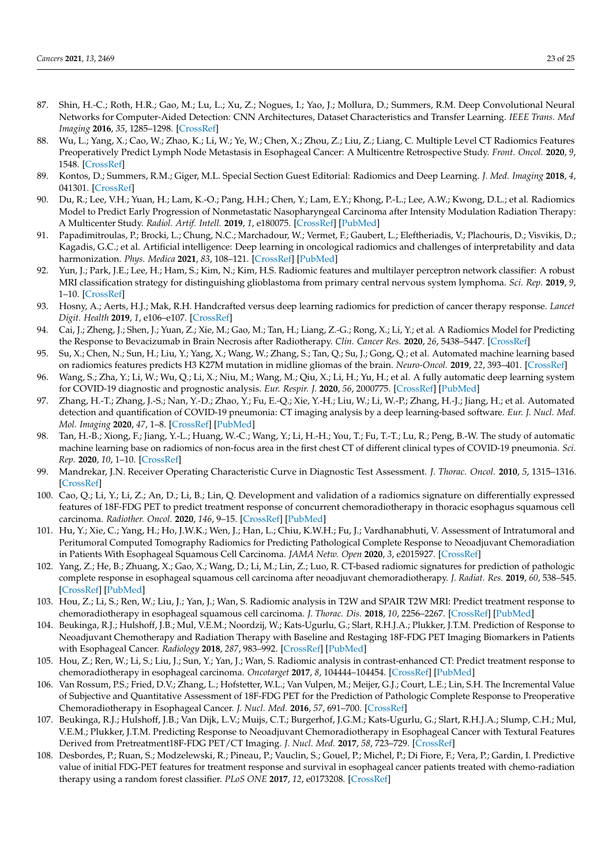- <span id="page-22-21"></span><span id="page-22-0"></span>87. Shin, H.-C.; Roth, H.R.; Gao, M.; Lu, L.; Xu, Z.; Nogues, I.; Yao, J.; Mollura, D.; Summers, R.M. Deep Convolutional Neural Networks for Computer-Aided Detection: CNN Architectures, Dataset Characteristics and Transfer Learning. *IEEE Trans. Med Imaging* **2016**, *35*, 1285–1298. [\[CrossRef\]](http://doi.org/10.1109/TMI.2016.2528162)
- <span id="page-22-1"></span>88. Wu, L.; Yang, X.; Cao, W.; Zhao, K.; Li, W.; Ye, W.; Chen, X.; Zhou, Z.; Liu, Z.; Liang, C. Multiple Level CT Radiomics Features Preoperatively Predict Lymph Node Metastasis in Esophageal Cancer: A Multicentre Retrospective Study. *Front. Oncol.* **2020**, *9*, 1548. [\[CrossRef\]](http://doi.org/10.3389/fonc.2019.01548)
- <span id="page-22-2"></span>89. Kontos, D.; Summers, R.M.; Giger, M.L. Special Section Guest Editorial: Radiomics and Deep Learning. *J. Med. Imaging* **2018**, *4*, 041301. [\[CrossRef\]](http://doi.org/10.1117/1.JMI.4.4.041301)
- <span id="page-22-3"></span>90. Du, R.; Lee, V.H.; Yuan, H.; Lam, K.-O.; Pang, H.H.; Chen, Y.; Lam, E.Y.; Khong, P.-L.; Lee, A.W.; Kwong, D.L.; et al. Radiomics Model to Predict Early Progression of Nonmetastatic Nasopharyngeal Carcinoma after Intensity Modulation Radiation Therapy: A Multicenter Study. *Radiol. Artif. Intell.* **2019**, *1*, e180075. [\[CrossRef\]](http://doi.org/10.1148/ryai.2019180075) [\[PubMed\]](http://www.ncbi.nlm.nih.gov/pubmed/33937796)
- <span id="page-22-12"></span><span id="page-22-4"></span>91. Papadimitroulas, P.; Brocki, L.; Chung, N.C.; Marchadour, W.; Vermet, F.; Gaubert, L.; Eleftheriadis, V.; Plachouris, D.; Visvikis, D.; Kagadis, G.C.; et al. Artificial intelligence: Deep learning in oncological radiomics and challenges of interpretability and data harmonization. *Phys. Medica* **2021**, *83*, 108–121. [\[CrossRef\]](http://doi.org/10.1016/j.ejmp.2021.03.009) [\[PubMed\]](http://www.ncbi.nlm.nih.gov/pubmed/33765601)
- <span id="page-22-13"></span><span id="page-22-5"></span>92. Yun, J.; Park, J.E.; Lee, H.; Ham, S.; Kim, N.; Kim, H.S. Radiomic features and multilayer perceptron network classifier: A robust MRI classification strategy for distinguishing glioblastoma from primary central nervous system lymphoma. *Sci. Rep.* **2019**, *9*, 1–10. [\[CrossRef\]](http://doi.org/10.1038/s41598-019-42276-w)
- <span id="page-22-14"></span><span id="page-22-6"></span>93. Hosny, A.; Aerts, H.J.; Mak, R.H. Handcrafted versus deep learning radiomics for prediction of cancer therapy response. *Lancet Digit. Health* **2019**, *1*, e106–e107. [\[CrossRef\]](http://doi.org/10.1016/S2589-7500(19)30062-7)
- <span id="page-22-7"></span>94. Cai, J.; Zheng, J.; Shen, J.; Yuan, Z.; Xie, M.; Gao, M.; Tan, H.; Liang, Z.-G.; Rong, X.; Li, Y.; et al. A Radiomics Model for Predicting the Response to Bevacizumab in Brain Necrosis after Radiotherapy. *Clin. Cancer Res.* **2020**, *26*, 5438–5447. [\[CrossRef\]](http://doi.org/10.1158/1078-0432.CCR-20-1264)
- <span id="page-22-15"></span><span id="page-22-8"></span>95. Su, X.; Chen, N.; Sun, H.; Liu, Y.; Yang, X.; Wang, W.; Zhang, S.; Tan, Q.; Su, J.; Gong, Q.; et al. Automated machine learning based on radiomics features predicts H3 K27M mutation in midline gliomas of the brain. *Neuro-Oncol.* **2019**, *22*, 393–401. [\[CrossRef\]](http://doi.org/10.1093/neuonc/noz184)
- <span id="page-22-16"></span><span id="page-22-9"></span>96. Wang, S.; Zha, Y.; Li, W.; Wu, Q.; Li, X.; Niu, M.; Wang, M.; Qiu, X.; Li, H.; Yu, H.; et al. A fully automatic deep learning system for COVID-19 diagnostic and prognostic analysis. *Eur. Respir. J.* **2020**, *56*, 2000775. [\[CrossRef\]](http://doi.org/10.1183/13993003.00775-2020) [\[PubMed\]](http://www.ncbi.nlm.nih.gov/pubmed/32444412)
- <span id="page-22-17"></span>97. Zhang, H.-T.; Zhang, J.-S.; Nan, Y.-D.; Zhao, Y.; Fu, E.-Q.; Xie, Y.-H.; Liu, W.; Li, W.-P.; Zhang, H.-J.; Jiang, H.; et al. Automated detection and quantification of COVID-19 pneumonia: CT imaging analysis by a deep learning-based software. *Eur. J. Nucl. Med. Mol. Imaging* **2020**, *47*, 1–8. [\[CrossRef\]](http://doi.org/10.1007/s00259-020-04953-1) [\[PubMed\]](http://www.ncbi.nlm.nih.gov/pubmed/32666395)
- <span id="page-22-18"></span><span id="page-22-10"></span>98. Tan, H.-B.; Xiong, F.; Jiang, Y.-L.; Huang, W.-C.; Wang, Y.; Li, H.-H.; You, T.; Fu, T.-T.; Lu, R.; Peng, B.-W. The study of automatic machine learning base on radiomics of non-focus area in the first chest CT of different clinical types of COVID-19 pneumonia. *Sci. Rep.* **2020**, *10*, 1–10. [\[CrossRef\]](http://doi.org/10.1038/s41598-020-76141-y)
- <span id="page-22-19"></span><span id="page-22-11"></span>99. Mandrekar, J.N. Receiver Operating Characteristic Curve in Diagnostic Test Assessment. *J. Thorac. Oncol.* **2010**, *5*, 1315–1316. [\[CrossRef\]](http://doi.org/10.1097/JTO.0b013e3181ec173d)
- <span id="page-22-22"></span><span id="page-22-20"></span>100. Cao, Q.; Li, Y.; Li, Z.; An, D.; Li, B.; Lin, Q. Development and validation of a radiomics signature on differentially expressed features of 18F-FDG PET to predict treatment response of concurrent chemoradiotherapy in thoracic esophagus squamous cell carcinoma. *Radiother. Oncol.* **2020**, *146*, 9–15. [\[CrossRef\]](http://doi.org/10.1016/j.radonc.2020.01.027) [\[PubMed\]](http://www.ncbi.nlm.nih.gov/pubmed/32065875)
- <span id="page-22-30"></span>101. Hu, Y.; Xie, C.; Yang, H.; Ho, J.W.K.; Wen, J.; Han, L.; Chiu, K.W.H.; Fu, J.; Vardhanabhuti, V. Assessment of Intratumoral and Peritumoral Computed Tomography Radiomics for Predicting Pathological Complete Response to Neoadjuvant Chemoradiation in Patients With Esophageal Squamous Cell Carcinoma. *JAMA Netw. Open* **2020**, *3*, e2015927. [\[CrossRef\]](http://doi.org/10.1001/jamanetworkopen.2020.15927)
- <span id="page-22-29"></span>102. Yang, Z.; He, B.; Zhuang, X.; Gao, X.; Wang, D.; Li, M.; Lin, Z.; Luo, R. CT-based radiomic signatures for prediction of pathologic complete response in esophageal squamous cell carcinoma after neoadjuvant chemoradiotherapy. *J. Radiat. Res.* **2019**, *60*, 538–545. [\[CrossRef\]](http://doi.org/10.1093/jrr/rrz027) [\[PubMed\]](http://www.ncbi.nlm.nih.gov/pubmed/31111948)
- <span id="page-22-28"></span>103. Hou, Z.; Li, S.; Ren, W.; Liu, J.; Yan, J.; Wan, S. Radiomic analysis in T2W and SPAIR T2W MRI: Predict treatment response to chemoradiotherapy in esophageal squamous cell carcinoma. *J. Thorac. Dis.* **2018**, *10*, 2256–2267. [\[CrossRef\]](http://doi.org/10.21037/jtd.2018.03.123) [\[PubMed\]](http://www.ncbi.nlm.nih.gov/pubmed/29850130)
- <span id="page-22-25"></span>104. Beukinga, R.J.; Hulshoff, J.B.; Mul, V.E.M.; Noordzij, W.; Kats-Ugurlu, G.; Slart, R.H.J.A.; Plukker, J.T.M. Prediction of Response to Neoadjuvant Chemotherapy and Radiation Therapy with Baseline and Restaging 18F-FDG PET Imaging Biomarkers in Patients with Esophageal Cancer. *Radiology* **2018**, *287*, 983–992. [\[CrossRef\]](http://doi.org/10.1148/radiol.2018172229) [\[PubMed\]](http://www.ncbi.nlm.nih.gov/pubmed/29533721)
- <span id="page-22-27"></span>105. Hou, Z.; Ren, W.; Li, S.; Liu, J.; Sun, Y.; Yan, J.; Wan, S. Radiomic analysis in contrast-enhanced CT: Predict treatment response to chemoradiotherapy in esophageal carcinoma. *Oncotarget* **2017**, *8*, 104444–104454. [\[CrossRef\]](http://doi.org/10.18632/oncotarget.22304) [\[PubMed\]](http://www.ncbi.nlm.nih.gov/pubmed/29262652)
- <span id="page-22-26"></span>106. Van Rossum, P.S.; Fried, D.V.; Zhang, L.; Hofstetter, W.L.; Van Vulpen, M.; Meijer, G.J.; Court, L.E.; Lin, S.H. The Incremental Value of Subjective and Quantitative Assessment of 18F-FDG PET for the Prediction of Pathologic Complete Response to Preoperative Chemoradiotherapy in Esophageal Cancer. *J. Nucl. Med.* **2016**, *57*, 691–700. [\[CrossRef\]](http://doi.org/10.2967/jnumed.115.163766)
- <span id="page-22-24"></span>107. Beukinga, R.J.; Hulshoff, J.B.; Van Dijk, L.V.; Muijs, C.T.; Burgerhof, J.G.M.; Kats-Ugurlu, G.; Slart, R.H.J.A.; Slump, C.H.; Mul, V.E.M.; Plukker, J.T.M. Predicting Response to Neoadjuvant Chemoradiotherapy in Esophageal Cancer with Textural Features Derived from Pretreatment18F-FDG PET/CT Imaging. *J. Nucl. Med.* **2017**, *58*, 723–729. [\[CrossRef\]](http://doi.org/10.2967/jnumed.116.180299)
- <span id="page-22-23"></span>108. Desbordes, P.; Ruan, S.; Modzelewski, R.; Pineau, P.; Vauclin, S.; Gouel, P.; Michel, P.; Di Fiore, F.; Vera, P.; Gardin, I. Predictive value of initial FDG-PET features for treatment response and survival in esophageal cancer patients treated with chemo-radiation therapy using a random forest classifier. *PLoS ONE* **2017**, *12*, e0173208. [\[CrossRef\]](http://doi.org/10.1371/journal.pone.0173208)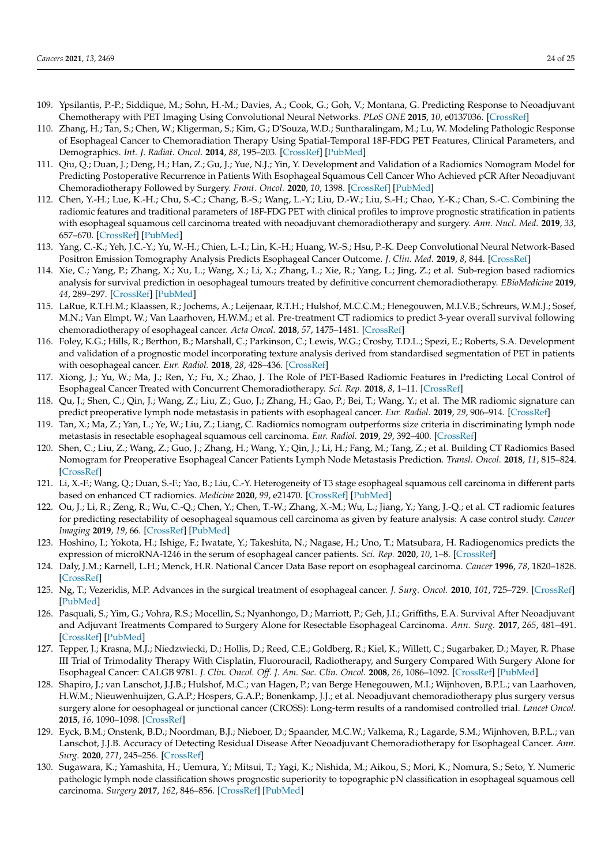- <span id="page-23-16"></span><span id="page-23-7"></span><span id="page-23-6"></span><span id="page-23-5"></span><span id="page-23-4"></span><span id="page-23-3"></span><span id="page-23-2"></span><span id="page-23-1"></span><span id="page-23-0"></span>109. Ypsilantis, P.-P.; Siddique, M.; Sohn, H.-M.; Davies, A.; Cook, G.; Goh, V.; Montana, G. Predicting Response to Neoadjuvant Chemotherapy with PET Imaging Using Convolutional Neural Networks. *PLoS ONE* **2015**, *10*, e0137036. [\[CrossRef\]](http://doi.org/10.1371/journal.pone.0137036)
- <span id="page-23-15"></span><span id="page-23-9"></span><span id="page-23-8"></span>110. Zhang, H.; Tan, S.; Chen, W.; Kligerman, S.; Kim, G.; D'Souza, W.D.; Suntharalingam, M.; Lu, W. Modeling Pathologic Response of Esophageal Cancer to Chemoradiation Therapy Using Spatial-Temporal 18F-FDG PET Features, Clinical Parameters, and Demographics. *Int. J. Radiat. Oncol.* **2014**, *88*, 195–203. [\[CrossRef\]](http://doi.org/10.1016/j.ijrobp.2013.09.037) [\[PubMed\]](http://www.ncbi.nlm.nih.gov/pubmed/24189128)
- <span id="page-23-17"></span><span id="page-23-10"></span>111. Qiu, Q.; Duan, J.; Deng, H.; Han, Z.; Gu, J.; Yue, N.J.; Yin, Y. Development and Validation of a Radiomics Nomogram Model for Predicting Postoperative Recurrence in Patients With Esophageal Squamous Cell Cancer Who Achieved pCR After Neoadjuvant Chemoradiotherapy Followed by Surgery. *Front. Oncol.* **2020**, *10*, 1398. [\[CrossRef\]](http://doi.org/10.3389/fonc.2020.01398) [\[PubMed\]](http://www.ncbi.nlm.nih.gov/pubmed/32850451)
- <span id="page-23-23"></span><span id="page-23-11"></span>112. Chen, Y.-H.; Lue, K.-H.; Chu, S.-C.; Chang, B.-S.; Wang, L.-Y.; Liu, D.-W.; Liu, S.-H.; Chao, Y.-K.; Chan, S.-C. Combining the radiomic features and traditional parameters of 18F-FDG PET with clinical profiles to improve prognostic stratification in patients with esophageal squamous cell carcinoma treated with neoadjuvant chemoradiotherapy and surgery. *Ann. Nucl. Med.* **2019**, *33*, 657–670. [\[CrossRef\]](http://doi.org/10.1007/s12149-019-01380-7) [\[PubMed\]](http://www.ncbi.nlm.nih.gov/pubmed/31218571)
- <span id="page-23-22"></span><span id="page-23-13"></span><span id="page-23-12"></span>113. Yang, C.-K.; Yeh, J.C.-Y.; Yu, W.-H.; Chien, L.-I.; Lin, K.-H.; Huang, W.-S.; Hsu, P.-K. Deep Convolutional Neural Network-Based Positron Emission Tomography Analysis Predicts Esophageal Cancer Outcome. *J. Clin. Med.* **2019**, *8*, 844. [\[CrossRef\]](http://doi.org/10.3390/jcm8060844)
- <span id="page-23-21"></span><span id="page-23-14"></span>114. Xie, C.; Yang, P.; Zhang, X.; Xu, L.; Wang, X.; Li, X.; Zhang, L.; Xie, R.; Yang, L.; Jing, Z.; et al. Sub-region based radiomics analysis for survival prediction in oesophageal tumours treated by definitive concurrent chemoradiotherapy. *EBioMedicine* **2019**, *44*, 289–297. [\[CrossRef\]](http://doi.org/10.1016/j.ebiom.2019.05.023) [\[PubMed\]](http://www.ncbi.nlm.nih.gov/pubmed/31129097)
- <span id="page-23-20"></span>115. LaRue, R.T.H.M.; Klaassen, R.; Jochems, A.; Leijenaar, R.T.H.; Hulshof, M.C.C.M.; Henegouwen, M.I.V.B.; Schreurs, W.M.J.; Sosef, M.N.; Van Elmpt, W.; Van Laarhoven, H.W.M.; et al. Pre-treatment CT radiomics to predict 3-year overall survival following chemoradiotherapy of esophageal cancer. *Acta Oncol.* **2018**, *57*, 1475–1481. [\[CrossRef\]](http://doi.org/10.1080/0284186X.2018.1486039)
- <span id="page-23-19"></span>116. Foley, K.G.; Hills, R.; Berthon, B.; Marshall, C.; Parkinson, C.; Lewis, W.G.; Crosby, T.D.L.; Spezi, E.; Roberts, S.A. Development and validation of a prognostic model incorporating texture analysis derived from standardised segmentation of PET in patients with oesophageal cancer. *Eur. Radiol.* **2018**, *28*, 428–436. [\[CrossRef\]](http://doi.org/10.1007/s00330-017-4973-y)
- <span id="page-23-18"></span>117. Xiong, J.; Yu, W.; Ma, J.; Ren, Y.; Fu, X.; Zhao, J. The Role of PET-Based Radiomic Features in Predicting Local Control of Esophageal Cancer Treated with Concurrent Chemoradiotherapy. *Sci. Rep.* **2018**, *8*, 1–11. [\[CrossRef\]](http://doi.org/10.1038/s41598-018-28243-x)
- <span id="page-23-24"></span>118. Qu, J.; Shen, C.; Qin, J.; Wang, Z.; Liu, Z.; Guo, J.; Zhang, H.; Gao, P.; Bei, T.; Wang, Y.; et al. The MR radiomic signature can predict preoperative lymph node metastasis in patients with esophageal cancer. *Eur. Radiol.* **2019**, *29*, 906–914. [\[CrossRef\]](http://doi.org/10.1007/s00330-018-5583-z)
- <span id="page-23-26"></span>119. Tan, X.; Ma, Z.; Yan, L.; Ye, W.; Liu, Z.; Liang, C. Radiomics nomogram outperforms size criteria in discriminating lymph node metastasis in resectable esophageal squamous cell carcinoma. *Eur. Radiol.* **2019**, *29*, 392–400. [\[CrossRef\]](http://doi.org/10.1007/s00330-018-5581-1)
- <span id="page-23-25"></span>120. Shen, C.; Liu, Z.; Wang, Z.; Guo, J.; Zhang, H.; Wang, Y.; Qin, J.; Li, H.; Fang, M.; Tang, Z.; et al. Building CT Radiomics Based Nomogram for Preoperative Esophageal Cancer Patients Lymph Node Metastasis Prediction. *Transl. Oncol.* **2018**, *11*, 815–824. [\[CrossRef\]](http://doi.org/10.1016/j.tranon.2018.04.005)
- <span id="page-23-27"></span>121. Li, X.-F.; Wang, Q.; Duan, S.-F.; Yao, B.; Liu, C.-Y. Heterogeneity of T3 stage esophageal squamous cell carcinoma in different parts based on enhanced CT radiomics. *Medicine* **2020**, *99*, e21470. [\[CrossRef\]](http://doi.org/10.1097/MD.0000000000021470) [\[PubMed\]](http://www.ncbi.nlm.nih.gov/pubmed/32769880)
- <span id="page-23-29"></span>122. Ou, J.; Li, R.; Zeng, R.; Wu, C.-Q.; Chen, Y.; Chen, T.-W.; Zhang, X.-M.; Wu, L.; Jiang, Y.; Yang, J.-Q.; et al. CT radiomic features for predicting resectability of oesophageal squamous cell carcinoma as given by feature analysis: A case control study. *Cancer Imaging* **2019**, *19*, 66. [\[CrossRef\]](http://doi.org/10.1186/s40644-019-0254-0) [\[PubMed\]](http://www.ncbi.nlm.nih.gov/pubmed/31619297)
- <span id="page-23-28"></span>123. Hoshino, I.; Yokota, H.; Ishige, F.; Iwatate, Y.; Takeshita, N.; Nagase, H.; Uno, T.; Matsubara, H. Radiogenomics predicts the expression of microRNA-1246 in the serum of esophageal cancer patients. *Sci. Rep.* **2020**, *10*, 1–8. [\[CrossRef\]](http://doi.org/10.1038/s41598-020-59500-7)
- <span id="page-23-30"></span>124. Daly, J.M.; Karnell, L.H.; Menck, H.R. National Cancer Data Base report on esophageal carcinoma. *Cancer* **1996**, *78*, 1820–1828. [\[CrossRef\]](http://doi.org/10.1002/(SICI)1097-0142(19961015)78:8<1820::AID-CNCR25>3.0.CO;2-Z)
- <span id="page-23-31"></span>125. Ng, T.; Vezeridis, M.P. Advances in the surgical treatment of esophageal cancer. *J. Surg. Oncol.* **2010**, *101*, 725–729. [\[CrossRef\]](http://doi.org/10.1002/jso.21566) [\[PubMed\]](http://www.ncbi.nlm.nih.gov/pubmed/20512949)
- <span id="page-23-32"></span>126. Pasquali, S.; Yim, G.; Vohra, R.S.; Mocellin, S.; Nyanhongo, D.; Marriott, P.; Geh, J.I.; Griffiths, E.A. Survival After Neoadjuvant and Adjuvant Treatments Compared to Surgery Alone for Resectable Esophageal Carcinoma. *Ann. Surg.* **2017**, *265*, 481–491. [\[CrossRef\]](http://doi.org/10.1097/SLA.0000000000001905) [\[PubMed\]](http://www.ncbi.nlm.nih.gov/pubmed/27429017)
- <span id="page-23-33"></span>127. Tepper, J.; Krasna, M.J.; Niedzwiecki, D.; Hollis, D.; Reed, C.E.; Goldberg, R.; Kiel, K.; Willett, C.; Sugarbaker, D.; Mayer, R. Phase III Trial of Trimodality Therapy With Cisplatin, Fluorouracil, Radiotherapy, and Surgery Compared With Surgery Alone for Esophageal Cancer: CALGB 9781. *J. Clin. Oncol. Off. J. Am. Soc. Clin. Oncol.* **2008**, *26*, 1086–1092. [\[CrossRef\]](http://doi.org/10.1200/JCO.2007.12.9593) [\[PubMed\]](http://www.ncbi.nlm.nih.gov/pubmed/18309943)
- <span id="page-23-34"></span>128. Shapiro, J.; van Lanschot, J.J.B.; Hulshof, M.C.; van Hagen, P.; van Berge Henegouwen, M.I.; Wijnhoven, B.P.L.; van Laarhoven, H.W.M.; Nieuwenhuijzen, G.A.P.; Hospers, G.A.P.; Bonenkamp, J.J.; et al. Neoadjuvant chemoradiotherapy plus surgery versus surgery alone for oesophageal or junctional cancer (CROSS): Long-term results of a randomised controlled trial. *Lancet Oncol.* **2015**, *16*, 1090–1098. [\[CrossRef\]](http://doi.org/10.1016/S1470-2045(15)00040-6)
- <span id="page-23-35"></span>129. Eyck, B.M.; Onstenk, B.D.; Noordman, B.J.; Nieboer, D.; Spaander, M.C.W.; Valkema, R.; Lagarde, S.M.; Wijnhoven, B.P.L.; van Lanschot, J.J.B. Accuracy of Detecting Residual Disease After Neoadjuvant Chemoradiotherapy for Esophageal Cancer. *Ann. Surg.* **2020**, *271*, 245–256. [\[CrossRef\]](http://doi.org/10.1097/SLA.0000000000003397)
- <span id="page-23-36"></span>130. Sugawara, K.; Yamashita, H.; Uemura, Y.; Mitsui, T.; Yagi, K.; Nishida, M.; Aikou, S.; Mori, K.; Nomura, S.; Seto, Y. Numeric pathologic lymph node classification shows prognostic superiority to topographic pN classification in esophageal squamous cell carcinoma. *Surgery* **2017**, *162*, 846–856. [\[CrossRef\]](http://doi.org/10.1016/j.surg.2017.06.013) [\[PubMed\]](http://www.ncbi.nlm.nih.gov/pubmed/28739092)